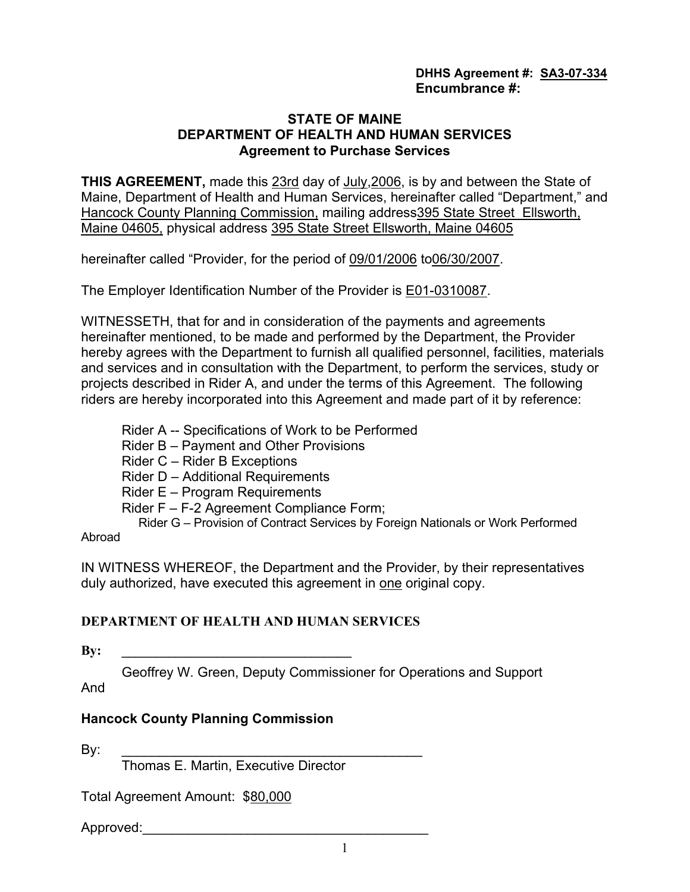# STATE OF MAINE DEPARTMENT OF HEALTH AND HUMAN SERVICES Agreement to Purchase Services

THIS AGREEMENT, made this 23rd day of July,2006, is by and between the State of Maine, Department of Health and Human Services, hereinafter called "Department," and Hancock County Planning Commission, mailing address395 State Street Ellsworth, Maine 04605, physical address 395 State Street Ellsworth, Maine 04605

hereinafter called "Provider, for the period of 09/01/2006 to06/30/2007.

The Employer Identification Number of the Provider is E01-0310087.

WITNESSETH, that for and in consideration of the payments and agreements hereinafter mentioned, to be made and performed by the Department, the Provider hereby agrees with the Department to furnish all qualified personnel, facilities, materials and services and in consultation with the Department, to perform the services, study or projects described in Rider A, and under the terms of this Agreement. The following riders are hereby incorporated into this Agreement and made part of it by reference:

- Rider A -- Specifications of Work to be Performed
- Rider B Payment and Other Provisions
- Rider C Rider B Exceptions
- Rider D Additional Requirements
- Rider E Program Requirements
- Rider F F-2 Agreement Compliance Form;

Rider G – Provision of Contract Services by Foreign Nationals or Work Performed

# Abroad

IN WITNESS WHEREOF, the Department and the Provider, by their representatives duly authorized, have executed this agreement in one original copy.

# DEPARTMENT OF HEALTH AND HUMAN SERVICES

 $\mathbf{B} \mathbf{y}$ :

Geoffrey W. Green, Deputy Commissioner for Operations and Support

And

# Hancock County Planning Commission

By: \_\_\_\_\_\_\_\_\_\_\_\_\_\_\_\_\_\_\_\_\_\_\_\_\_\_\_\_\_\_\_\_\_\_\_\_\_\_\_\_

Thomas E. Martin, Executive Director

Total Agreement Amount: \$80,000

Approved: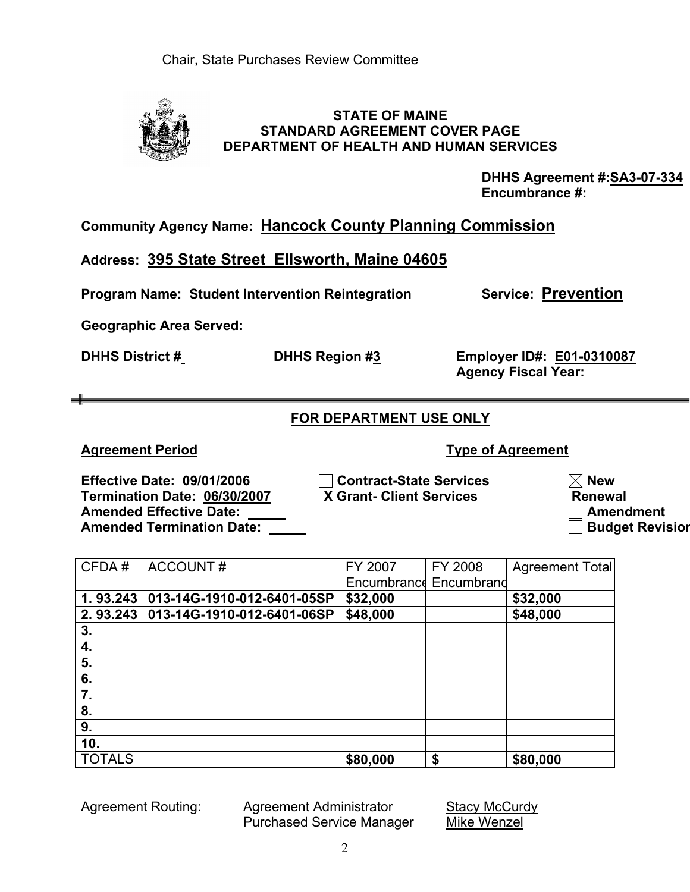Agreement Routing: Agreement Administrator Stacy McCurdy Purchased Service Manager Mike Wenzel

# STATE OF MAINE STANDARD AGREEMENT COVER PAGE DEPARTMENT OF HEALTH AND HUMAN SERVICES

DHHS Agreement #: SA3-07-334 Encumbrance #:

Agency Fiscal Year:

Community Agency Name: Hancock County Planning Commission

Address: 395 State Street Ellsworth, Maine 04605

Program Name: Student Intervention Reintegration Service: Prevention

Geographic Area Served:

DHHS District # DHHS Region #3 Employer ID#: E01-0310087

FOR DEPARTMENT USE ONLY

Agreement Period **Type of Agreement** 

Effective Date: 09/01/2006 Contract-State Services New Termination Date: 06/30/2007 X Grant- Client Services Renewal Amended Effective Date: Amendment Amended Termination Date: Budget Revision

| CFDA#         | <b>ACCOUNT#</b>            | FY 2007  | FY 2008                | <b>Agreement Total</b> |
|---------------|----------------------------|----------|------------------------|------------------------|
|               |                            |          | Encumbrance Encumbrand |                        |
| 1.93.243      | 013-14G-1910-012-6401-05SP | \$32,000 |                        | \$32,000               |
| 2.93.243      | 013-14G-1910-012-6401-06SP | \$48,000 |                        | \$48,000               |
| 3.            |                            |          |                        |                        |
| 4.            |                            |          |                        |                        |
| 5.            |                            |          |                        |                        |
| 6.            |                            |          |                        |                        |
| 7.            |                            |          |                        |                        |
| 8.            |                            |          |                        |                        |
| 9.            |                            |          |                        |                        |
| 10.           |                            |          |                        |                        |
| <b>TOTALS</b> |                            | \$80,000 | \$                     | \$80,000               |
|               |                            |          |                        |                        |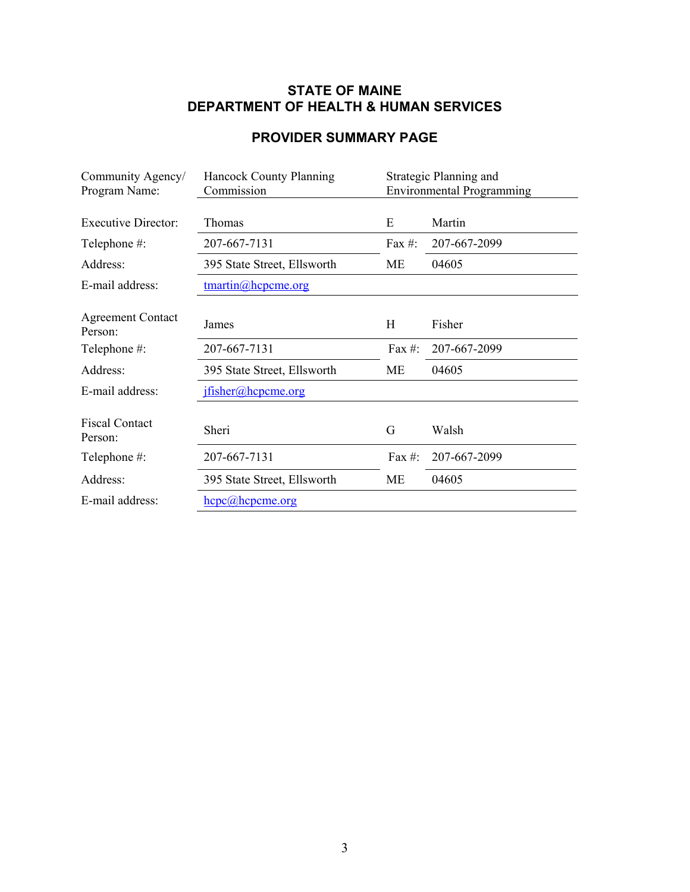# STATE OF MAINE DEPARTMENT OF HEALTH & HUMAN SERVICES

# PROVIDER SUMMARY PAGE

| Community Agency/                   | Strategic Planning and<br><b>Hancock County Planning</b> |            |                                  |
|-------------------------------------|----------------------------------------------------------|------------|----------------------------------|
| Program Name:                       | Commission                                               |            | <b>Environmental Programming</b> |
| <b>Executive Director:</b>          | Thomas                                                   | E          | Martin                           |
| Telephone #:                        | 207-667-7131                                             | Fax $#$ :  | 207-667-2099                     |
| Address:                            | 395 State Street, Ellsworth                              | МE         | 04605                            |
| E-mail address:                     | $t$ martin $@$ hcpcme.org                                |            |                                  |
|                                     |                                                          |            |                                  |
| <b>Agreement Contact</b><br>Person: | James                                                    | Η          | Fisher                           |
| Telephone #:                        | 207-667-7131                                             | Fax $\#$ : | 207-667-2099                     |
| Address:                            | 395 State Street, Ellsworth                              | <b>ME</b>  | 04605                            |
| E-mail address:                     | ifisher@theorem.org                                      |            |                                  |
|                                     |                                                          |            |                                  |
| <b>Fiscal Contact</b><br>Person:    | Sheri                                                    | G          | Walsh                            |
| Telephone #:                        | 207-667-7131                                             | Fax $#$ :  | 207-667-2099                     |
| Address:                            | 395 State Street, Ellsworth                              | ME         | 04605                            |
| E-mail address:                     | $\text{here}$ ( <i>a</i> ) hepeme.org                    |            |                                  |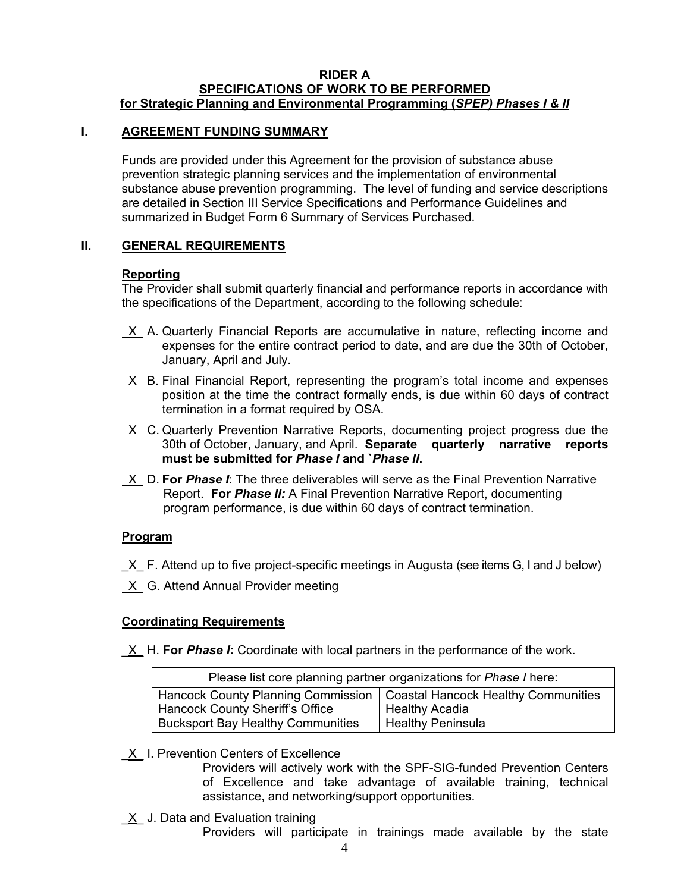#### RIDER A SPECIFICATIONS OF WORK TO BE PERFORMED for Strategic Planning and Environmental Programming (SPEP) Phases I & II

#### I. AGREEMENT FUNDING SUMMARY

Funds are provided under this Agreement for the provision of substance abuse prevention strategic planning services and the implementation of environmental substance abuse prevention programming. The level of funding and service descriptions are detailed in Section III Service Specifications and Performance Guidelines and summarized in Budget Form 6 Summary of Services Purchased.

#### II. GENERAL REQUIREMENTS

#### Reporting

The Provider shall submit quarterly financial and performance reports in accordance with the specifications of the Department, according to the following schedule:

- X A. Quarterly Financial Reports are accumulative in nature, reflecting income and expenses for the entire contract period to date, and are due the 30th of October, January, April and July.
- $X$  B. Final Financial Report, representing the program's total income and expenses position at the time the contract formally ends, is due within 60 days of contract termination in a format required by OSA.
- X C. Quarterly Prevention Narrative Reports, documenting project progress due the 30th of October, January, and April. Separate quarterly narrative reports must be submitted for Phase I and `Phase II.
- X D. For Phase I: The three deliverables will serve as the Final Prevention Narrative Report. For *Phase II:* A Final Prevention Narrative Report, documenting program performance, is due within 60 days of contract termination.

## Program

- $X$  F. Attend up to five project-specific meetings in Augusta (see items G, I and J below)
- X G. Attend Annual Provider meeting

## Coordinating Requirements

X H. For Phase I: Coordinate with local partners in the performance of the work.

| Please list core planning partner organizations for Phase I here:        |                          |  |  |
|--------------------------------------------------------------------------|--------------------------|--|--|
| Hancock County Planning Commission   Coastal Hancock Healthy Communities |                          |  |  |
| Hancock County Sheriff's Office                                          | Healthy Acadia           |  |  |
| <b>Bucksport Bay Healthy Communities</b>                                 | <b>Healthy Peninsula</b> |  |  |

 $X$  I. Prevention Centers of Excellence

Providers will actively work with the SPF-SIG-funded Prevention Centers of Excellence and take advantage of available training, technical assistance, and networking/support opportunities.

X J. Data and Evaluation training

Providers will participate in trainings made available by the state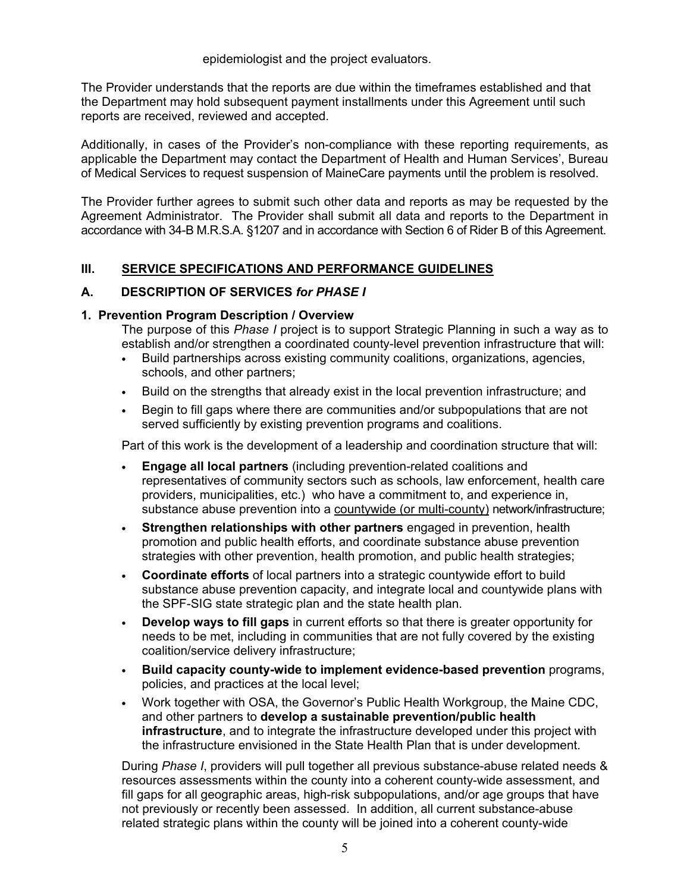epidemiologist and the project evaluators.

The Provider understands that the reports are due within the timeframes established and that the Department may hold subsequent payment installments under this Agreement until such reports are received, reviewed and accepted.

Additionally, in cases of the Provider's non-compliance with these reporting requirements, as applicable the Department may contact the Department of Health and Human Services', Bureau of Medical Services to request suspension of MaineCare payments until the problem is resolved.

The Provider further agrees to submit such other data and reports as may be requested by the Agreement Administrator. The Provider shall submit all data and reports to the Department in accordance with 34-B M.R.S.A. §1207 and in accordance with Section 6 of Rider B of this Agreement.

## III. SERVICE SPECIFICATIONS AND PERFORMANCE GUIDELINES

## A. DESCRIPTION OF SERVICES for PHASE I

#### 1. Prevention Program Description / Overview

The purpose of this *Phase I* project is to support Strategic Planning in such a way as to establish and/or strengthen a coordinated county-level prevention infrastructure that will:

- Build partnerships across existing community coalitions, organizations, agencies, schools, and other partners;
- Build on the strengths that already exist in the local prevention infrastructure; and
- Begin to fill gaps where there are communities and/or subpopulations that are not served sufficiently by existing prevention programs and coalitions.

Part of this work is the development of a leadership and coordination structure that will:

- Engage all local partners (including prevention-related coalitions and representatives of community sectors such as schools, law enforcement, health care providers, municipalities, etc.) who have a commitment to, and experience in, substance abuse prevention into a countywide (or multi-county) network/infrastructure;
- Strengthen relationships with other partners engaged in prevention, health promotion and public health efforts, and coordinate substance abuse prevention strategies with other prevention, health promotion, and public health strategies;
- Coordinate efforts of local partners into a strategic countywide effort to build substance abuse prevention capacity, and integrate local and countywide plans with the SPF-SIG state strategic plan and the state health plan.
- Develop ways to fill gaps in current efforts so that there is greater opportunity for needs to be met, including in communities that are not fully covered by the existing coalition/service delivery infrastructure;
- Build capacity county-wide to implement evidence-based prevention programs, policies, and practices at the local level;
- Work together with OSA, the Governor's Public Health Workgroup, the Maine CDC, and other partners to develop a sustainable prevention/public health infrastructure, and to integrate the infrastructure developed under this project with the infrastructure envisioned in the State Health Plan that is under development.

During Phase I, providers will pull together all previous substance-abuse related needs & resources assessments within the county into a coherent county-wide assessment, and fill gaps for all geographic areas, high-risk subpopulations, and/or age groups that have not previously or recently been assessed. In addition, all current substance-abuse related strategic plans within the county will be joined into a coherent county-wide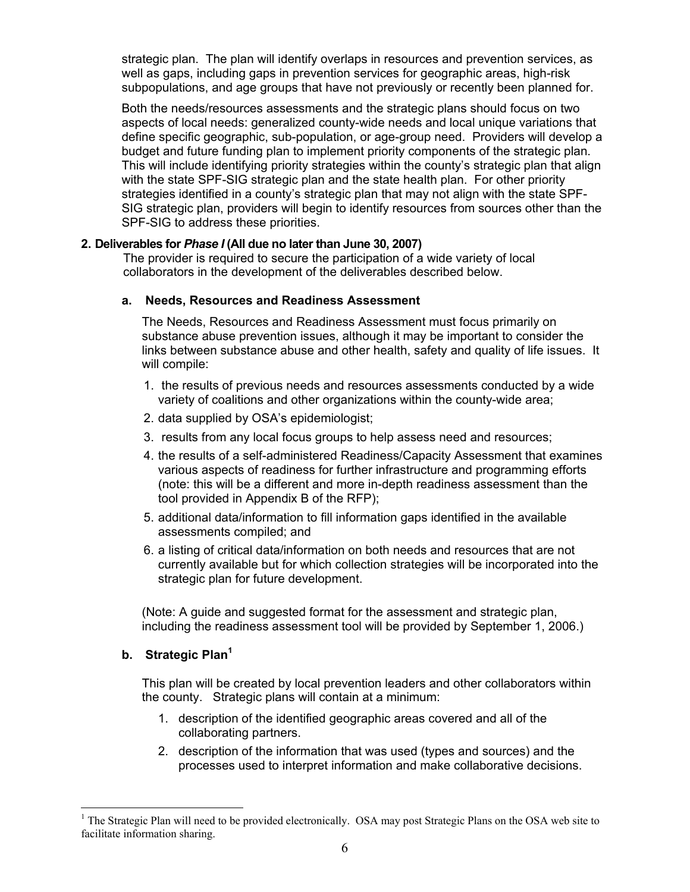strategic plan. The plan will identify overlaps in resources and prevention services, as well as gaps, including gaps in prevention services for geographic areas, high-risk subpopulations, and age groups that have not previously or recently been planned for.

Both the needs/resources assessments and the strategic plans should focus on two aspects of local needs: generalized county-wide needs and local unique variations that define specific geographic, sub-population, or age-group need. Providers will develop a budget and future funding plan to implement priority components of the strategic plan. This will include identifying priority strategies within the county's strategic plan that align with the state SPF-SIG strategic plan and the state health plan. For other priority strategies identified in a county's strategic plan that may not align with the state SPF-SIG strategic plan, providers will begin to identify resources from sources other than the SPF-SIG to address these priorities.

#### 2. Deliverables for Phase I (All due no later than June 30, 2007)

The provider is required to secure the participation of a wide variety of local collaborators in the development of the deliverables described below.

#### a. Needs, Resources and Readiness Assessment

The Needs, Resources and Readiness Assessment must focus primarily on substance abuse prevention issues, although it may be important to consider the links between substance abuse and other health, safety and quality of life issues. It will compile:

- 1. the results of previous needs and resources assessments conducted by a wide variety of coalitions and other organizations within the county-wide area;
- 2. data supplied by OSA's epidemiologist;
- 3. results from any local focus groups to help assess need and resources;
- 4. the results of a self-administered Readiness/Capacity Assessment that examines various aspects of readiness for further infrastructure and programming efforts (note: this will be a different and more in-depth readiness assessment than the tool provided in Appendix B of the RFP);
- 5. additional data/information to fill information gaps identified in the available assessments compiled; and
- 6. a listing of critical data/information on both needs and resources that are not currently available but for which collection strategies will be incorporated into the strategic plan for future development.

(Note: A guide and suggested format for the assessment and strategic plan, including the readiness assessment tool will be provided by September 1, 2006.)

## b. Strategic Plan<sup>1</sup>

 $\overline{a}$ 

This plan will be created by local prevention leaders and other collaborators within the county. Strategic plans will contain at a minimum:

- 1. description of the identified geographic areas covered and all of the collaborating partners.
- 2. description of the information that was used (types and sources) and the processes used to interpret information and make collaborative decisions.

<sup>&</sup>lt;sup>1</sup> The Strategic Plan will need to be provided electronically. OSA may post Strategic Plans on the OSA web site to facilitate information sharing.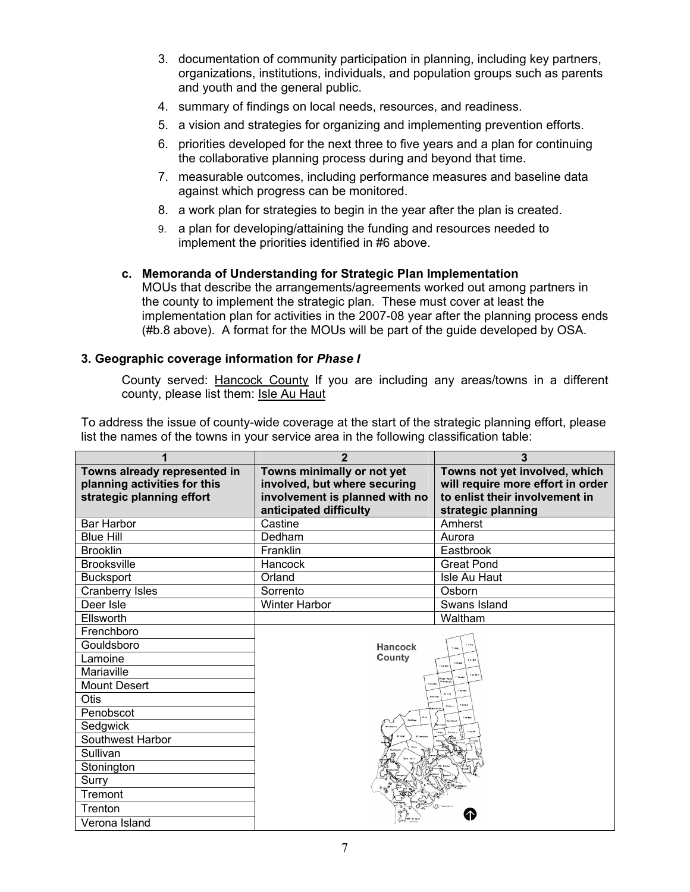- 3. documentation of community participation in planning, including key partners, organizations, institutions, individuals, and population groups such as parents and youth and the general public.
- 4. summary of findings on local needs, resources, and readiness.
- 5. a vision and strategies for organizing and implementing prevention efforts.
- 6. priorities developed for the next three to five years and a plan for continuing the collaborative planning process during and beyond that time.
- 7. measurable outcomes, including performance measures and baseline data against which progress can be monitored.
- 8. a work plan for strategies to begin in the year after the plan is created.
- 9. a plan for developing/attaining the funding and resources needed to implement the priorities identified in #6 above.

# c. Memoranda of Understanding for Strategic Plan Implementation

MOUs that describe the arrangements/agreements worked out among partners in the county to implement the strategic plan. These must cover at least the implementation plan for activities in the 2007-08 year after the planning process ends (#b.8 above). A format for the MOUs will be part of the guide developed by OSA.

#### 3. Geographic coverage information for Phase I

County served: Hancock County If you are including any areas/towns in a different county, please list them: Isle Au Haut

To address the issue of county-wide coverage at the start of the strategic planning effort, please list the names of the towns in your service area in the following classification table:

| $\overline{2}$<br>1                        |                                                          | 3                                 |  |
|--------------------------------------------|----------------------------------------------------------|-----------------------------------|--|
| Towns already represented in               | Towns minimally or not yet                               | Towns not yet involved, which     |  |
| planning activities for this               | involved, but where securing                             | will require more effort in order |  |
| strategic planning effort                  | involvement is planned with no<br>anticipated difficulty | to enlist their involvement in    |  |
| <b>Bar Harbor</b>                          | Castine                                                  | strategic planning<br>Amherst     |  |
| <b>Blue Hill</b>                           | Dedham                                                   | Aurora                            |  |
| <b>Brooklin</b>                            | Franklin                                                 | Eastbrook                         |  |
| <b>Brooksville</b>                         | Hancock                                                  | <b>Great Pond</b>                 |  |
|                                            | Orland                                                   | Isle Au Haut                      |  |
| <b>Bucksport</b><br><b>Cranberry Isles</b> | Sorrento                                                 | Osborn                            |  |
| Deer Isle                                  | <b>Winter Harbor</b>                                     | Swans Island                      |  |
| Ellsworth                                  |                                                          | Waltham                           |  |
| Frenchboro                                 |                                                          |                                   |  |
| Gouldsboro                                 |                                                          |                                   |  |
| Lamoine                                    | Hancock<br>County                                        |                                   |  |
| Mariaville                                 |                                                          | Tasmo                             |  |
| Mount Desert                               |                                                          |                                   |  |
| Otis                                       |                                                          |                                   |  |
| Penobscot                                  |                                                          |                                   |  |
| Sedgwick                                   |                                                          | <b>T16 MD</b>                     |  |
| Southwest Harbor                           |                                                          |                                   |  |
| Sullivan                                   |                                                          |                                   |  |
| Stonington                                 |                                                          |                                   |  |
| Surry                                      |                                                          |                                   |  |
| Tremont                                    |                                                          |                                   |  |
| Trenton                                    |                                                          |                                   |  |
| Verona Island                              |                                                          |                                   |  |
|                                            |                                                          |                                   |  |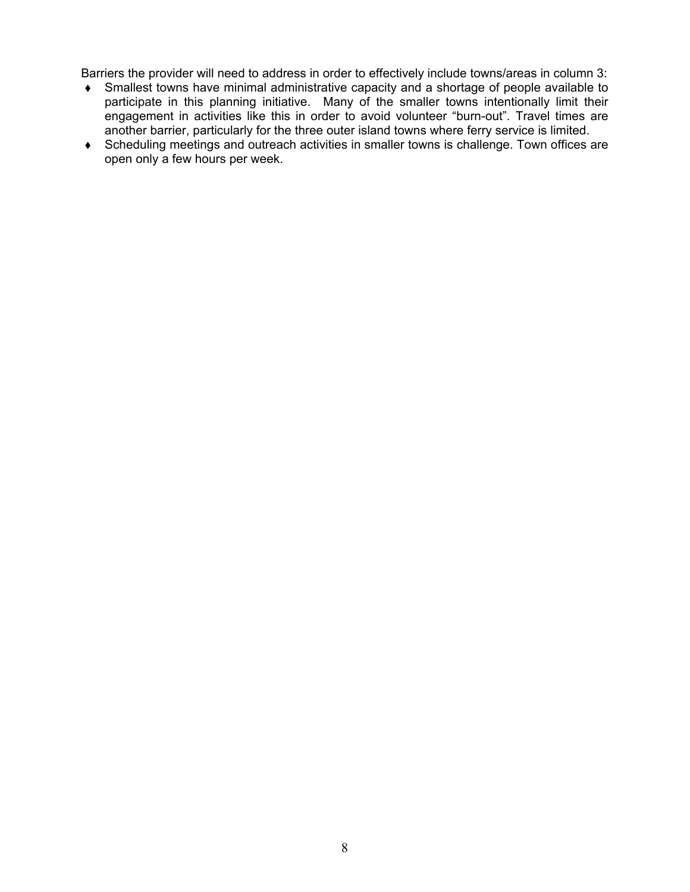Barriers the provider will need to address in order to effectively include towns/areas in column 3:

- Smallest towns have minimal administrative capacity and a shortage of people available to participate in this planning initiative. Many of the smaller towns intentionally limit their engagement in activities like this in order to avoid volunteer "burn-out". Travel times are another barrier, particularly for the three outer island towns where ferry service is limited.
- Scheduling meetings and outreach activities in smaller towns is challenge. Town offices are open only a few hours per week.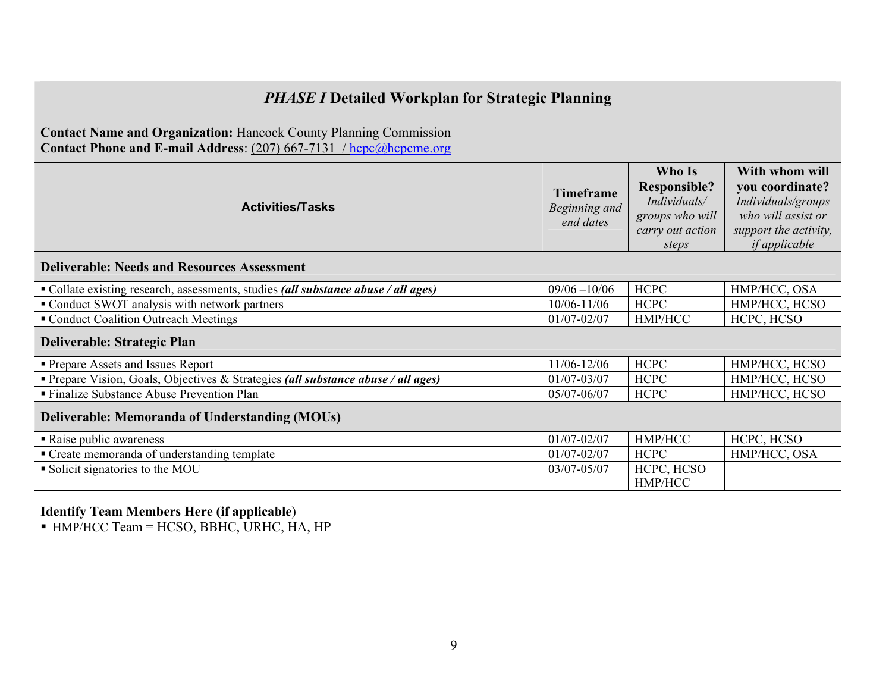| <b>PHASE I Detailed Workplan for Strategic Planning</b>                                                                                        |                                                |                                                                                               |                                                                                                                                |
|------------------------------------------------------------------------------------------------------------------------------------------------|------------------------------------------------|-----------------------------------------------------------------------------------------------|--------------------------------------------------------------------------------------------------------------------------------|
| <b>Contact Name and Organization: Hancock County Planning Commission</b><br>Contact Phone and E-mail Address: (207) 667-7131 / hcpc@hcpcme.org |                                                |                                                                                               |                                                                                                                                |
| <b>Activities/Tasks</b>                                                                                                                        | <b>Timeframe</b><br>Beginning and<br>end dates | Who Is<br><b>Responsible?</b><br>Individuals/<br>groups who will<br>carry out action<br>steps | With whom will<br>you coordinate?<br>Individuals/groups<br>who will assist or<br>support the activity,<br><i>if applicable</i> |
| <b>Deliverable: Needs and Resources Assessment</b>                                                                                             |                                                |                                                                                               |                                                                                                                                |
| • Collate existing research, assessments, studies (all substance abuse / all ages)                                                             | $09/06 - 10/06$                                | <b>HCPC</b>                                                                                   | HMP/HCC, OSA                                                                                                                   |
| • Conduct SWOT analysis with network partners                                                                                                  | $10/06 - 11/06$                                | <b>HCPC</b>                                                                                   | HMP/HCC, HCSO                                                                                                                  |
| " Conduct Coalition Outreach Meetings                                                                                                          | $01/07 - 02/07$                                | HMP/HCC                                                                                       | HCPC, HCSO                                                                                                                     |
| <b>Deliverable: Strategic Plan</b>                                                                                                             |                                                |                                                                                               |                                                                                                                                |
| <b>Prepare Assets and Issues Report</b>                                                                                                        | 11/06-12/06                                    | <b>HCPC</b>                                                                                   | HMP/HCC, HCSO                                                                                                                  |
| Prepare Vision, Goals, Objectives & Strategies (all substance abuse / all ages)                                                                | $01/07 - 03/07$                                | <b>HCPC</b>                                                                                   | HMP/HCC, HCSO                                                                                                                  |
| ■ Finalize Substance Abuse Prevention Plan                                                                                                     | 05/07-06/07                                    | <b>HCPC</b>                                                                                   | HMP/HCC, HCSO                                                                                                                  |
| Deliverable: Memoranda of Understanding (MOUs)                                                                                                 |                                                |                                                                                               |                                                                                                                                |
| Raise public awareness                                                                                                                         | $01/07 - 02/07$                                | HMP/HCC                                                                                       | HCPC, HCSO                                                                                                                     |
| • Create memoranda of understanding template                                                                                                   | $01/07 - 02/07$                                | <b>HCPC</b>                                                                                   | HMP/HCC, OSA                                                                                                                   |
| Solicit signatories to the MOU                                                                                                                 | 03/07-05/07                                    | HCPC, HCSO<br>HMP/HCC                                                                         |                                                                                                                                |
|                                                                                                                                                |                                                |                                                                                               |                                                                                                                                |

Identify Team Members Here (if applicable) - HMP/HCC Team = HCSO, BBHC, URHC, HA, HP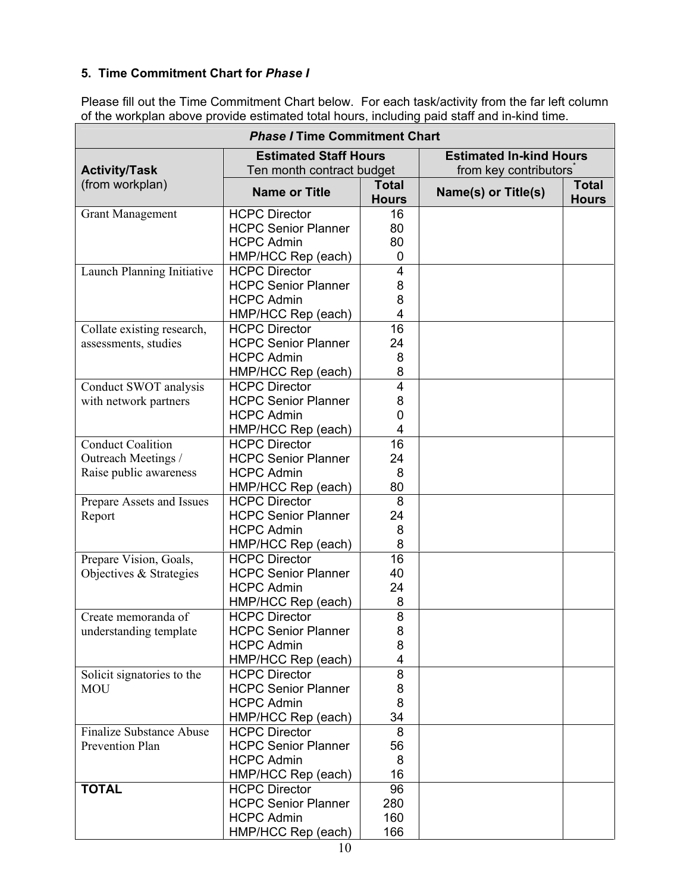# 5. Time Commitment Chart for Phase I

Please fill out the Time Commitment Chart below. For each task/activity from the far left column of the workplan above provide estimated total hours, including paid staff and in-kind time.

| <b>Phase / Time Commitment Chart</b> |                                                           |                              |                                                         |                              |  |
|--------------------------------------|-----------------------------------------------------------|------------------------------|---------------------------------------------------------|------------------------------|--|
| <b>Activity/Task</b>                 | <b>Estimated Staff Hours</b><br>Ten month contract budget |                              | <b>Estimated In-kind Hours</b><br>from key contributors |                              |  |
| (from workplan)                      | <b>Name or Title</b>                                      | <b>Total</b><br><b>Hours</b> | Name(s) or Title(s)                                     | <b>Total</b><br><b>Hours</b> |  |
| <b>Grant Management</b>              | <b>HCPC Director</b>                                      | 16                           |                                                         |                              |  |
|                                      | <b>HCPC Senior Planner</b>                                | 80                           |                                                         |                              |  |
|                                      | <b>HCPC Admin</b>                                         | 80                           |                                                         |                              |  |
|                                      | HMP/HCC Rep (each)                                        | 0                            |                                                         |                              |  |
| Launch Planning Initiative           | <b>HCPC Director</b>                                      | 4                            |                                                         |                              |  |
|                                      | <b>HCPC Senior Planner</b>                                | 8                            |                                                         |                              |  |
|                                      | <b>HCPC Admin</b>                                         | 8                            |                                                         |                              |  |
|                                      | HMP/HCC Rep (each)                                        | 4                            |                                                         |                              |  |
| Collate existing research,           | <b>HCPC Director</b>                                      | 16                           |                                                         |                              |  |
| assessments, studies                 | <b>HCPC Senior Planner</b>                                | 24                           |                                                         |                              |  |
|                                      | <b>HCPC Admin</b>                                         | 8                            |                                                         |                              |  |
|                                      | HMP/HCC Rep (each)                                        | 8                            |                                                         |                              |  |
| Conduct SWOT analysis                | <b>HCPC Director</b>                                      | $\overline{4}$               |                                                         |                              |  |
| with network partners                | <b>HCPC Senior Planner</b>                                | 8                            |                                                         |                              |  |
|                                      | <b>HCPC Admin</b>                                         | 0<br>4                       |                                                         |                              |  |
|                                      | HMP/HCC Rep (each)<br><b>HCPC Director</b>                | 16                           |                                                         |                              |  |
| <b>Conduct Coalition</b>             | <b>HCPC Senior Planner</b>                                | 24                           |                                                         |                              |  |
| Outreach Meetings /                  | <b>HCPC Admin</b>                                         | 8                            |                                                         |                              |  |
| Raise public awareness               | HMP/HCC Rep (each)                                        | 80                           |                                                         |                              |  |
| Prepare Assets and Issues            | <b>HCPC Director</b>                                      | 8                            |                                                         |                              |  |
| Report                               | <b>HCPC Senior Planner</b>                                | 24                           |                                                         |                              |  |
|                                      | <b>HCPC Admin</b>                                         | 8                            |                                                         |                              |  |
|                                      | HMP/HCC Rep (each)                                        | 8                            |                                                         |                              |  |
| Prepare Vision, Goals,               | <b>HCPC Director</b>                                      | 16                           |                                                         |                              |  |
| Objectives & Strategies              | <b>HCPC Senior Planner</b>                                | 40                           |                                                         |                              |  |
|                                      | <b>HCPC Admin</b>                                         | 24                           |                                                         |                              |  |
|                                      | HMP/HCC Rep (each)                                        | 8                            |                                                         |                              |  |
| Create memoranda of                  | <b>HCPC Director</b>                                      | 8                            |                                                         |                              |  |
| understanding template               | <b>HCPC Senior Planner</b>                                | 8                            |                                                         |                              |  |
|                                      | <b>HCPC Admin</b>                                         | 8                            |                                                         |                              |  |
|                                      | HMP/HCC Rep (each)                                        | 4                            |                                                         |                              |  |
| Solicit signatories to the           | <b>HCPC Director</b>                                      | 8                            |                                                         |                              |  |
| <b>MOU</b>                           | <b>HCPC Senior Planner</b>                                | 8                            |                                                         |                              |  |
|                                      | <b>HCPC Admin</b>                                         | 8                            |                                                         |                              |  |
|                                      | HMP/HCC Rep (each)                                        | 34                           |                                                         |                              |  |
| <b>Finalize Substance Abuse</b>      | <b>HCPC Director</b>                                      | 8                            |                                                         |                              |  |
| Prevention Plan                      | <b>HCPC Senior Planner</b>                                | 56                           |                                                         |                              |  |
|                                      | <b>HCPC Admin</b>                                         | 8                            |                                                         |                              |  |
|                                      | HMP/HCC Rep (each)                                        | 16                           |                                                         |                              |  |
| <b>TOTAL</b>                         | <b>HCPC Director</b>                                      | 96                           |                                                         |                              |  |
|                                      | <b>HCPC Senior Planner</b>                                | 280                          |                                                         |                              |  |
|                                      | <b>HCPC Admin</b>                                         | 160                          |                                                         |                              |  |
|                                      | HMP/HCC Rep (each)                                        | 166                          |                                                         |                              |  |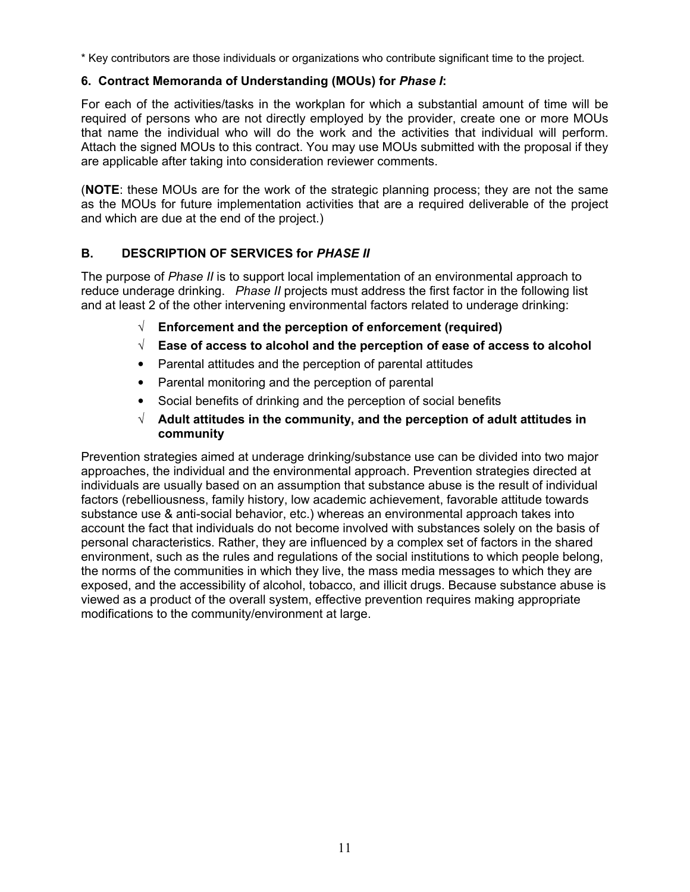\* Key contributors are those individuals or organizations who contribute significant time to the project.

# 6. Contract Memoranda of Understanding (MOUs) for Phase I:

For each of the activities/tasks in the workplan for which a substantial amount of time will be required of persons who are not directly employed by the provider, create one or more MOUs that name the individual who will do the work and the activities that individual will perform. Attach the signed MOUs to this contract. You may use MOUs submitted with the proposal if they are applicable after taking into consideration reviewer comments.

(NOTE: these MOUs are for the work of the strategic planning process; they are not the same as the MOUs for future implementation activities that are a required deliverable of the project and which are due at the end of the project.)

# B. DESCRIPTION OF SERVICES for PHASE II

The purpose of Phase II is to support local implementation of an environmental approach to reduce underage drinking. Phase II projects must address the first factor in the following list and at least 2 of the other intervening environmental factors related to underage drinking:

- $\sqrt{\phantom{a}}$  Enforcement and the perception of enforcement (required)
- $\sqrt{\phantom{a}}$  Ease of access to alcohol and the perception of ease of access to alcohol
- Parental attitudes and the perception of parental attitudes
- Parental monitoring and the perception of parental
- Social benefits of drinking and the perception of social benefits
- $\sqrt{\phantom{a}}$  Adult attitudes in the community, and the perception of adult attitudes in community

Prevention strategies aimed at underage drinking/substance use can be divided into two major approaches, the individual and the environmental approach. Prevention strategies directed at individuals are usually based on an assumption that substance abuse is the result of individual factors (rebelliousness, family history, low academic achievement, favorable attitude towards substance use & anti-social behavior, etc.) whereas an environmental approach takes into account the fact that individuals do not become involved with substances solely on the basis of personal characteristics. Rather, they are influenced by a complex set of factors in the shared environment, such as the rules and regulations of the social institutions to which people belong, the norms of the communities in which they live, the mass media messages to which they are exposed, and the accessibility of alcohol, tobacco, and illicit drugs. Because substance abuse is viewed as a product of the overall system, effective prevention requires making appropriate modifications to the community/environment at large.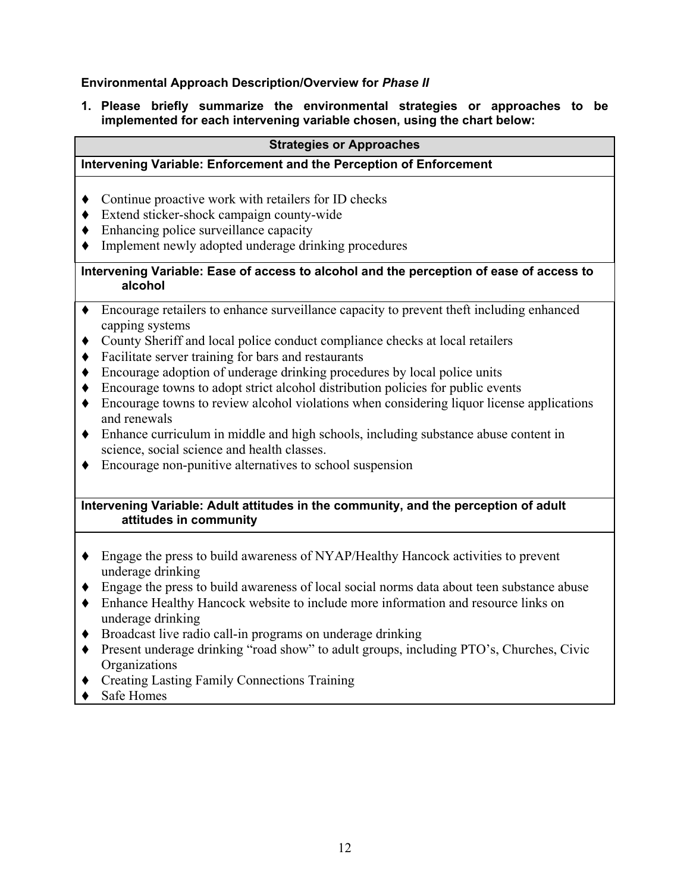## Environmental Approach Description/Overview for Phase II

1. Please briefly summarize the environmental strategies or approaches to be implemented for each intervening variable chosen, using the chart below:

#### Strategies or Approaches

## Intervening Variable: Enforcement and the Perception of Enforcement

- Continue proactive work with retailers for ID checks
- Extend sticker-shock campaign county-wide
- $\bullet$  Enhancing police surveillance capacity
- Implement newly adopted underage drinking procedures

#### Intervening Variable: Ease of access to alcohol and the perception of ease of access to alcohol

- Encourage retailers to enhance surveillance capacity to prevent theft including enhanced capping systems
- County Sheriff and local police conduct compliance checks at local retailers
- Facilitate server training for bars and restaurants
- Encourage adoption of underage drinking procedures by local police units
- Encourage towns to adopt strict alcohol distribution policies for public events
- Encourage towns to review alcohol violations when considering liquor license applications and renewals
- Enhance curriculum in middle and high schools, including substance abuse content in science, social science and health classes.
- Encourage non-punitive alternatives to school suspension

## Intervening Variable: Adult attitudes in the community, and the perception of adult attitudes in community

- Engage the press to build awareness of NYAP/Healthy Hancock activities to prevent underage drinking
- Engage the press to build awareness of local social norms data about teen substance abuse
- Enhance Healthy Hancock website to include more information and resource links on underage drinking
- Broadcast live radio call-in programs on underage drinking
- Present underage drinking "road show" to adult groups, including PTO's, Churches, Civic **Organizations**
- Creating Lasting Family Connections Training
- ◆ Safe Homes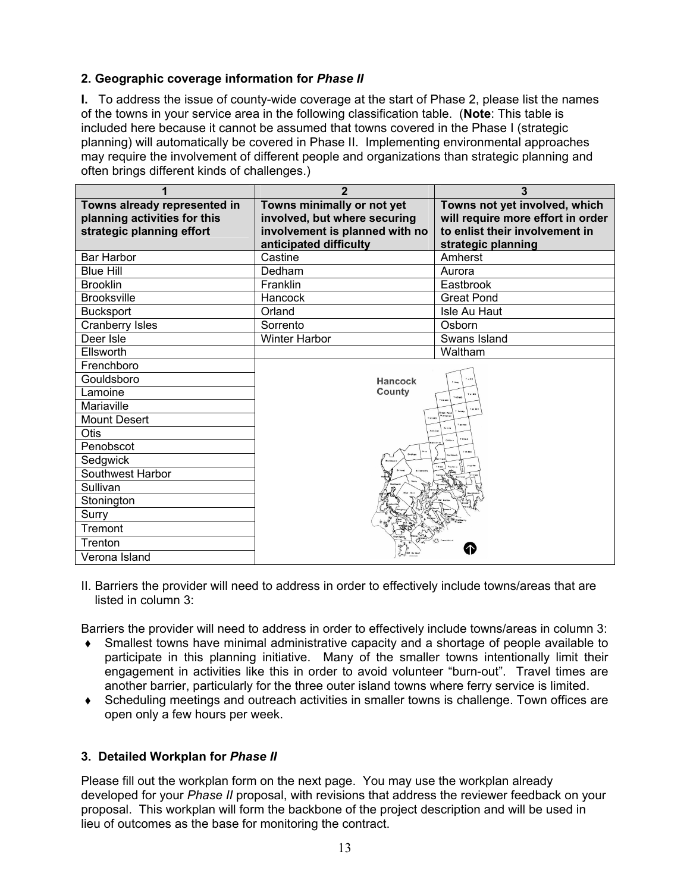# 2. Geographic coverage information for Phase II

I. To address the issue of county-wide coverage at the start of Phase 2, please list the names of the towns in your service area in the following classification table. (Note: This table is included here because it cannot be assumed that towns covered in the Phase I (strategic planning) will automatically be covered in Phase II. Implementing environmental approaches may require the involvement of different people and organizations than strategic planning and often brings different kinds of challenges.)

| 1                                                                                         | $\overline{2}$                                                                                                         | 3                                                                                                                          |  |
|-------------------------------------------------------------------------------------------|------------------------------------------------------------------------------------------------------------------------|----------------------------------------------------------------------------------------------------------------------------|--|
| Towns already represented in<br>planning activities for this<br>strategic planning effort | Towns minimally or not yet<br>involved, but where securing<br>involvement is planned with no<br>anticipated difficulty | Towns not yet involved, which<br>will require more effort in order<br>to enlist their involvement in<br>strategic planning |  |
| Bar Harbor                                                                                | Castine                                                                                                                | Amherst                                                                                                                    |  |
| <b>Blue Hill</b>                                                                          | Dedham                                                                                                                 | Aurora                                                                                                                     |  |
| <b>Brooklin</b>                                                                           | Franklin                                                                                                               | Eastbrook                                                                                                                  |  |
| <b>Brooksville</b>                                                                        | Hancock                                                                                                                | <b>Great Pond</b>                                                                                                          |  |
| <b>Bucksport</b>                                                                          | Orland                                                                                                                 | Isle Au Haut                                                                                                               |  |
| Cranberry Isles                                                                           | Sorrento                                                                                                               | Osborn                                                                                                                     |  |
| Deer Isle                                                                                 | <b>Winter Harbor</b>                                                                                                   | Swans Island                                                                                                               |  |
| Ellsworth                                                                                 |                                                                                                                        | Waltham                                                                                                                    |  |
| Frenchboro                                                                                |                                                                                                                        |                                                                                                                            |  |
| Gouldsboro                                                                                | Hancock                                                                                                                |                                                                                                                            |  |
| Lamoine                                                                                   | County                                                                                                                 |                                                                                                                            |  |
| Mariaville                                                                                |                                                                                                                        |                                                                                                                            |  |
| Mount Desert                                                                              |                                                                                                                        |                                                                                                                            |  |
| Otis                                                                                      |                                                                                                                        |                                                                                                                            |  |
| Penobscot                                                                                 |                                                                                                                        |                                                                                                                            |  |
| Sedgwick                                                                                  |                                                                                                                        |                                                                                                                            |  |
| Southwest Harbor                                                                          |                                                                                                                        |                                                                                                                            |  |
| Sullivan                                                                                  |                                                                                                                        |                                                                                                                            |  |
| Stonington                                                                                |                                                                                                                        |                                                                                                                            |  |
| Surry                                                                                     |                                                                                                                        |                                                                                                                            |  |
| Tremont                                                                                   |                                                                                                                        |                                                                                                                            |  |
| Trenton                                                                                   |                                                                                                                        |                                                                                                                            |  |
| Verona Island                                                                             |                                                                                                                        |                                                                                                                            |  |

II. Barriers the provider will need to address in order to effectively include towns/areas that are listed in column 3:

Barriers the provider will need to address in order to effectively include towns/areas in column 3:

- Smallest towns have minimal administrative capacity and a shortage of people available to participate in this planning initiative. Many of the smaller towns intentionally limit their engagement in activities like this in order to avoid volunteer "burn-out". Travel times are another barrier, particularly for the three outer island towns where ferry service is limited.
- Scheduling meetings and outreach activities in smaller towns is challenge. Town offices are open only a few hours per week.

# 3. Detailed Workplan for Phase II

Please fill out the workplan form on the next page. You may use the workplan already developed for your Phase II proposal, with revisions that address the reviewer feedback on your proposal. This workplan will form the backbone of the project description and will be used in lieu of outcomes as the base for monitoring the contract.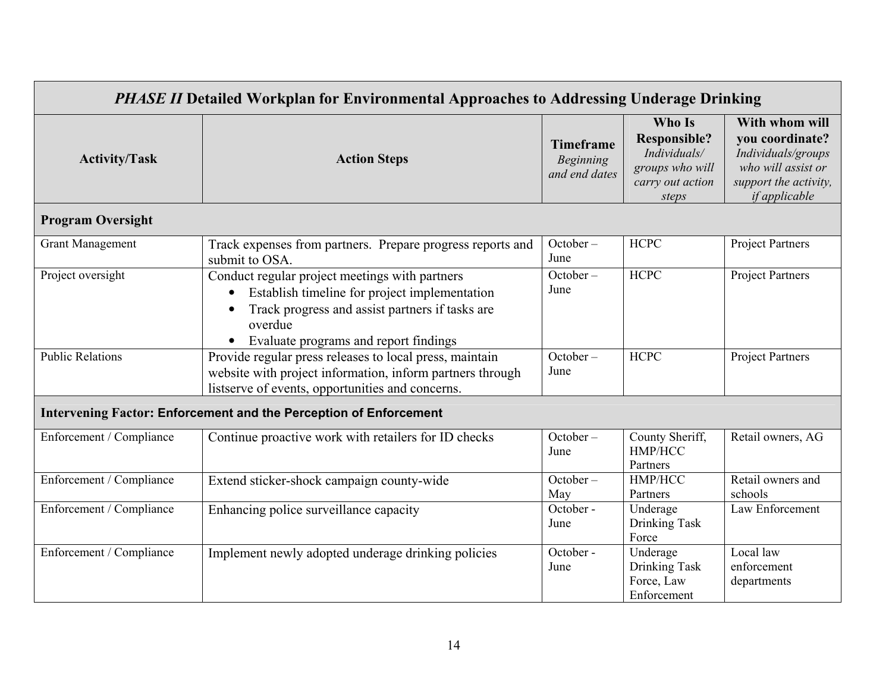| <b>PHASE II Detailed Workplan for Environmental Approaches to Addressing Underage Drinking</b> |                                                                                                                                                                                                        |                                                       |                                                                                               |                                                                                                                                |
|------------------------------------------------------------------------------------------------|--------------------------------------------------------------------------------------------------------------------------------------------------------------------------------------------------------|-------------------------------------------------------|-----------------------------------------------------------------------------------------------|--------------------------------------------------------------------------------------------------------------------------------|
| <b>Activity/Task</b>                                                                           | <b>Action Steps</b>                                                                                                                                                                                    | <b>Timeframe</b><br><b>Beginning</b><br>and end dates | Who Is<br><b>Responsible?</b><br>Individuals/<br>groups who will<br>carry out action<br>steps | With whom will<br>you coordinate?<br>Individuals/groups<br>who will assist or<br>support the activity,<br><i>if applicable</i> |
| <b>Program Oversight</b>                                                                       |                                                                                                                                                                                                        |                                                       |                                                                                               |                                                                                                                                |
| <b>Grant Management</b>                                                                        | Track expenses from partners. Prepare progress reports and<br>submit to OSA.                                                                                                                           | $October -$<br>June                                   | <b>HCPC</b>                                                                                   | <b>Project Partners</b>                                                                                                        |
| Project oversight                                                                              | Conduct regular project meetings with partners<br>Establish timeline for project implementation<br>Track progress and assist partners if tasks are<br>overdue<br>Evaluate programs and report findings | October –<br>June                                     | <b>HCPC</b>                                                                                   | <b>Project Partners</b>                                                                                                        |
| <b>Public Relations</b>                                                                        | Provide regular press releases to local press, maintain<br>website with project information, inform partners through<br>listserve of events, opportunities and concerns.                               | October –<br>June                                     | <b>HCPC</b>                                                                                   | <b>Project Partners</b>                                                                                                        |
|                                                                                                | <b>Intervening Factor: Enforcement and the Perception of Enforcement</b>                                                                                                                               |                                                       |                                                                                               |                                                                                                                                |
| Enforcement / Compliance                                                                       | Continue proactive work with retailers for ID checks                                                                                                                                                   | October –<br>June                                     | County Sheriff,<br>HMP/HCC<br>Partners                                                        | Retail owners, AG                                                                                                              |
| Enforcement / Compliance                                                                       | Extend sticker-shock campaign county-wide                                                                                                                                                              | October –<br>May                                      | HMP/HCC<br>Partners                                                                           | Retail owners and<br>schools                                                                                                   |
| Enforcement / Compliance                                                                       | Enhancing police surveillance capacity                                                                                                                                                                 | October -<br>June                                     | Underage<br>Drinking Task<br>Force                                                            | Law Enforcement                                                                                                                |
| Enforcement / Compliance                                                                       | Implement newly adopted underage drinking policies                                                                                                                                                     | October -<br>June                                     | Underage<br>Drinking Task<br>Force, Law<br>Enforcement                                        | Local law<br>enforcement<br>departments                                                                                        |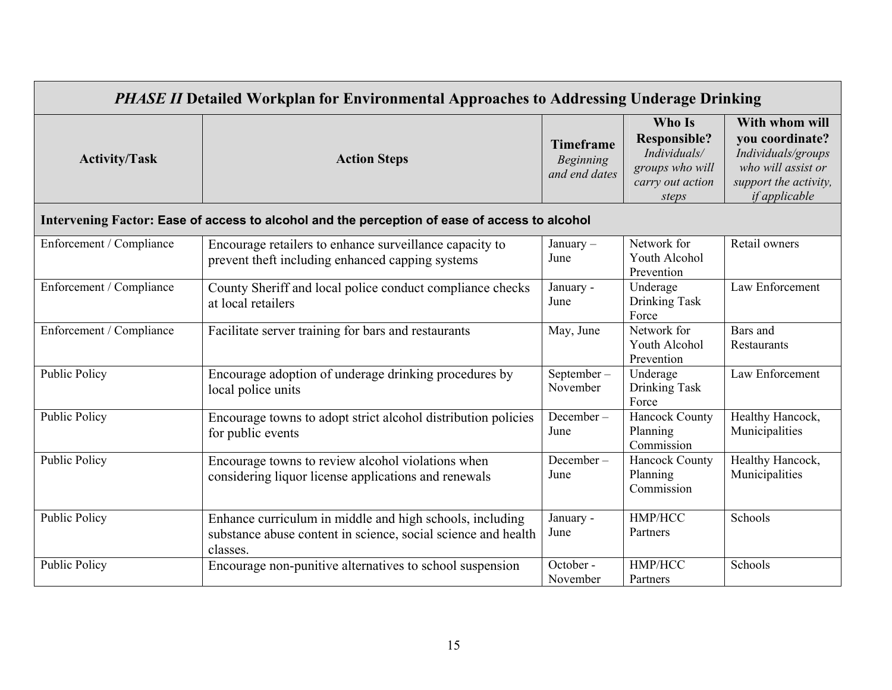| <b>PHASE II Detailed Workplan for Environmental Approaches to Addressing Underage Drinking</b> |                                                                                                                                       |                                                       |                                                                                               |                                                                                                                                |
|------------------------------------------------------------------------------------------------|---------------------------------------------------------------------------------------------------------------------------------------|-------------------------------------------------------|-----------------------------------------------------------------------------------------------|--------------------------------------------------------------------------------------------------------------------------------|
| <b>Activity/Task</b>                                                                           | <b>Action Steps</b>                                                                                                                   | <b>Timeframe</b><br><b>Beginning</b><br>and end dates | Who Is<br><b>Responsible?</b><br>Individuals/<br>groups who will<br>carry out action<br>steps | With whom will<br>you coordinate?<br>Individuals/groups<br>who will assist or<br>support the activity,<br><i>if applicable</i> |
|                                                                                                | Intervening Factor: Ease of access to alcohol and the perception of ease of access to alcohol                                         |                                                       |                                                                                               |                                                                                                                                |
| Enforcement / Compliance                                                                       | Encourage retailers to enhance surveillance capacity to<br>prevent theft including enhanced capping systems                           | January $-$<br>June                                   | Network for<br>Youth Alcohol<br>Prevention                                                    | Retail owners                                                                                                                  |
| Enforcement / Compliance                                                                       | County Sheriff and local police conduct compliance checks<br>at local retailers                                                       | January -<br>June                                     | Underage<br>Drinking Task<br>Force                                                            | Law Enforcement                                                                                                                |
| Enforcement / Compliance                                                                       | Facilitate server training for bars and restaurants                                                                                   | May, June                                             | Network for<br>Youth Alcohol<br>Prevention                                                    | Bars and<br>Restaurants                                                                                                        |
| <b>Public Policy</b>                                                                           | Encourage adoption of underage drinking procedures by<br>local police units                                                           | September-<br>November                                | Underage<br>Drinking Task<br>Force                                                            | Law Enforcement                                                                                                                |
| <b>Public Policy</b>                                                                           | Encourage towns to adopt strict alcohol distribution policies<br>for public events                                                    | December-<br>June                                     | <b>Hancock County</b><br>Planning<br>Commission                                               | Healthy Hancock,<br>Municipalities                                                                                             |
| <b>Public Policy</b>                                                                           | Encourage towns to review alcohol violations when<br>considering liquor license applications and renewals                             | December-<br>June                                     | <b>Hancock County</b><br>Planning<br>Commission                                               | Healthy Hancock,<br>Municipalities                                                                                             |
| <b>Public Policy</b>                                                                           | Enhance curriculum in middle and high schools, including<br>substance abuse content in science, social science and health<br>classes. | January -<br>June                                     | HMP/HCC<br>Partners                                                                           | Schools                                                                                                                        |
| <b>Public Policy</b>                                                                           | Encourage non-punitive alternatives to school suspension                                                                              | October -<br>November                                 | HMP/HCC<br>Partners                                                                           | Schools                                                                                                                        |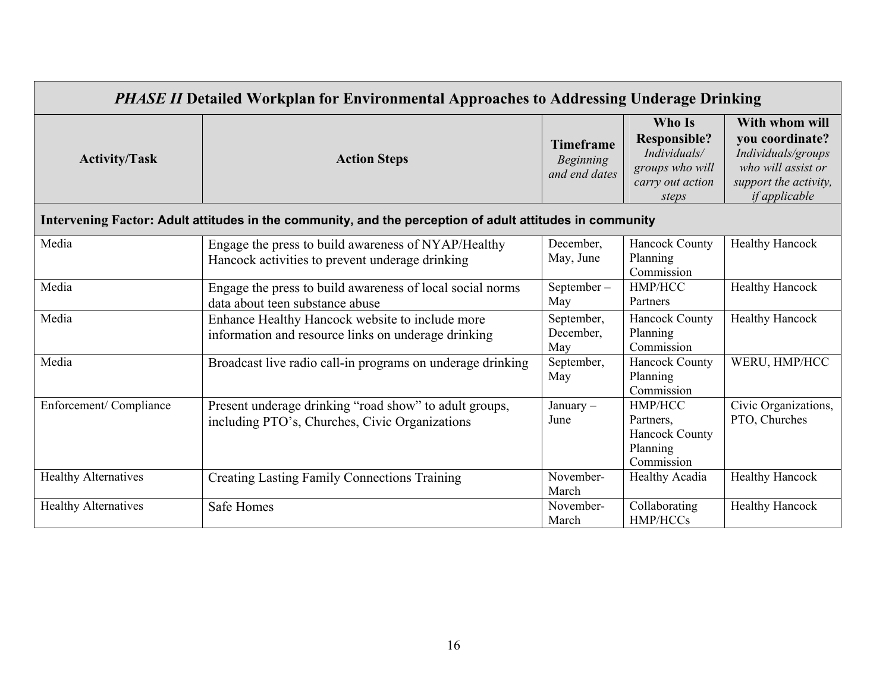| <b>PHASE II Detailed Workplan for Environmental Approaches to Addressing Underage Drinking</b> |                                                                                                          |                                                       |                                                                                               |                                                                                                                                |
|------------------------------------------------------------------------------------------------|----------------------------------------------------------------------------------------------------------|-------------------------------------------------------|-----------------------------------------------------------------------------------------------|--------------------------------------------------------------------------------------------------------------------------------|
| <b>Activity/Task</b>                                                                           | <b>Action Steps</b>                                                                                      | <b>Timeframe</b><br><b>Beginning</b><br>and end dates | Who Is<br><b>Responsible?</b><br>Individuals/<br>groups who will<br>carry out action<br>steps | With whom will<br>vou coordinate?<br>Individuals/groups<br>who will assist or<br>support the activity,<br><i>if applicable</i> |
|                                                                                                | Intervening Factor: Adult attitudes in the community, and the perception of adult attitudes in community |                                                       |                                                                                               |                                                                                                                                |
| Media                                                                                          | Engage the press to build awareness of NYAP/Healthy<br>Hancock activities to prevent underage drinking   | December,<br>May, June                                | <b>Hancock County</b><br>Planning<br>Commission                                               | <b>Healthy Hancock</b>                                                                                                         |
| Media                                                                                          | Engage the press to build awareness of local social norms<br>data about teen substance abuse             | September-<br>May                                     | HMP/HCC<br>Partners                                                                           | <b>Healthy Hancock</b>                                                                                                         |
| Media                                                                                          | Enhance Healthy Hancock website to include more<br>information and resource links on underage drinking   | September,<br>December,<br>May                        | <b>Hancock County</b><br>Planning<br>Commission                                               | <b>Healthy Hancock</b>                                                                                                         |
| Media                                                                                          | Broadcast live radio call-in programs on underage drinking                                               | September,<br>May                                     | <b>Hancock County</b><br>Planning<br>Commission                                               | WERU, HMP/HCC                                                                                                                  |
| Enforcement/Compliance                                                                         | Present underage drinking "road show" to adult groups,<br>including PTO's, Churches, Civic Organizations | January –<br>June                                     | HMP/HCC<br>Partners,<br><b>Hancock County</b><br>Planning<br>Commission                       | Civic Organizations,<br>PTO, Churches                                                                                          |
| <b>Healthy Alternatives</b>                                                                    | <b>Creating Lasting Family Connections Training</b>                                                      | November-<br>March                                    | <b>Healthy Acadia</b>                                                                         | <b>Healthy Hancock</b>                                                                                                         |
| <b>Healthy Alternatives</b>                                                                    | <b>Safe Homes</b>                                                                                        | November-<br>March                                    | Collaborating<br>HMP/HCCs                                                                     | <b>Healthy Hancock</b>                                                                                                         |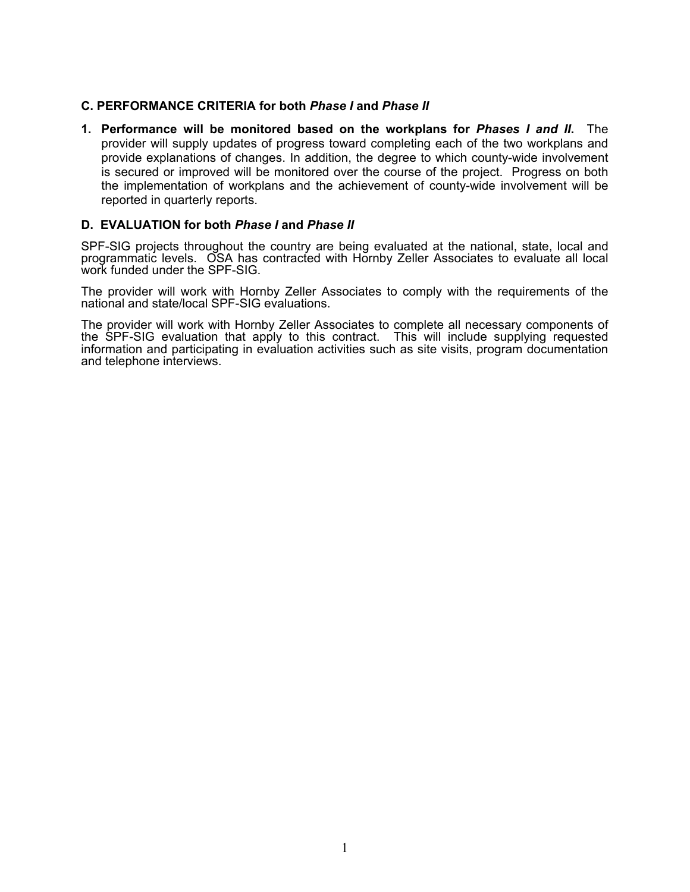## C. PERFORMANCE CRITERIA for both Phase I and Phase II

1. Performance will be monitored based on the workplans for Phases I and II. The provider will supply updates of progress toward completing each of the two workplans and provide explanations of changes. In addition, the degree to which county-wide involvement is secured or improved will be monitored over the course of the project. Progress on both the implementation of workplans and the achievement of county-wide involvement will be reported in quarterly reports.

#### D. EVALUATION for both Phase I and Phase II

SPF-SIG projects throughout the country are being evaluated at the national, state, local and programmatic levels. OSA has contracted with Hornby Zeller Associates to evaluate all local work funded under the SPF-SIG.

The provider will work with Hornby Zeller Associates to comply with the requirements of the national and state/local SPF-SIG evaluations.

The provider will work with Hornby Zeller Associates to complete all necessary components of the SPF-SIG evaluation that apply to this contract. This will include supplying requested information and participating in evaluation activities such as site visits, program documentation and telephone interviews.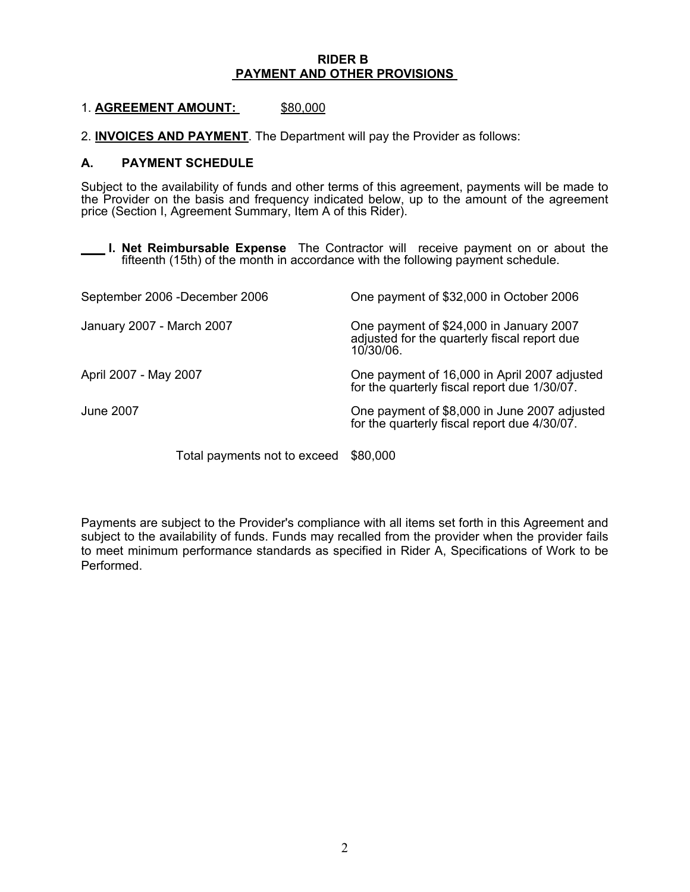#### RIDER B PAYMENT AND OTHER PROVISIONS

#### 1. AGREEMENT AMOUNT: \$80,000

2. INVOICES AND PAYMENT. The Department will pay the Provider as follows:

#### A. PAYMENT SCHEDULE

Subject to the availability of funds and other terms of this agreement, payments will be made to the Provider on the basis and frequency indicated below, up to the amount of the agreement price (Section I, Agreement Summary, Item A of this Rider).

**I. Net Reimbursable Expense** The Contractor will receive payment on or about the fifteenth (15th) of the month in accordance with the following payment schedule.

|                           | September 2006 -December 2006 | One payment of \$32,000 in October 2006                                                              |
|---------------------------|-------------------------------|------------------------------------------------------------------------------------------------------|
| January 2007 - March 2007 |                               | One payment of \$24,000 in January 2007<br>adjusted for the quarterly fiscal report due<br>10/30/06. |
| April 2007 - May 2007     |                               | One payment of 16,000 in April 2007 adjusted<br>for the quarterly fiscal report due 1/30/07.         |
| <b>June 2007</b>          |                               | One payment of \$8,000 in June 2007 adjusted<br>for the quarterly fiscal report due 4/30/07.         |
|                           | Total payments not to exceed  | \$80,000                                                                                             |

Payments are subject to the Provider's compliance with all items set forth in this Agreement and subject to the availability of funds. Funds may recalled from the provider when the provider fails to meet minimum performance standards as specified in Rider A, Specifications of Work to be Performed.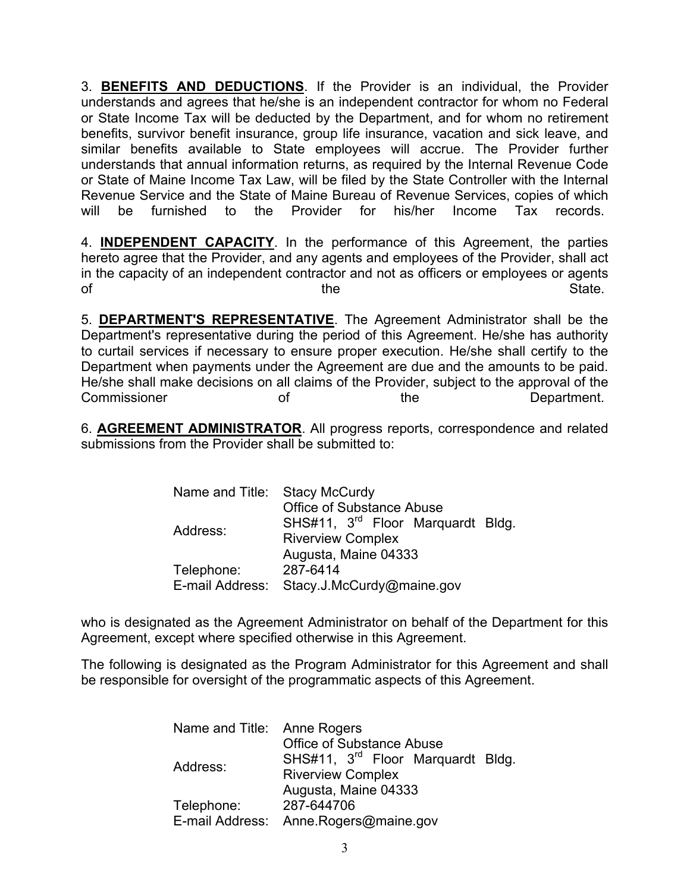3. BENEFITS AND DEDUCTIONS. If the Provider is an individual, the Provider understands and agrees that he/she is an independent contractor for whom no Federal or State Income Tax will be deducted by the Department, and for whom no retirement benefits, survivor benefit insurance, group life insurance, vacation and sick leave, and similar benefits available to State employees will accrue. The Provider further understands that annual information returns, as required by the Internal Revenue Code or State of Maine Income Tax Law, will be filed by the State Controller with the Internal Revenue Service and the State of Maine Bureau of Revenue Services, copies of which will be furnished to the Provider for his/her Income Tax records.

4. INDEPENDENT CAPACITY. In the performance of this Agreement, the parties hereto agree that the Provider, and any agents and employees of the Provider, shall act in the capacity of an independent contractor and not as officers or employees or agents of the state of the state of  $\mathbb{R}^n$  of  $\mathbb{S}^n$  and  $\mathbb{S}^n$  and  $\mathbb{S}^n$  and  $\mathbb{S}^n$  and  $\mathbb{S}^n$  and  $\mathbb{S}^n$  and  $\mathbb{S}^n$  and  $\mathbb{S}^n$  and  $\mathbb{S}^n$  and  $\mathbb{S}^n$  and  $\mathbb{S}^n$  and  $\mathbb{S}^n$  and

5. DEPARTMENT'S REPRESENTATIVE. The Agreement Administrator shall be the Department's representative during the period of this Agreement. He/she has authority to curtail services if necessary to ensure proper execution. He/she shall certify to the Department when payments under the Agreement are due and the amounts to be paid. He/she shall make decisions on all claims of the Provider, subject to the approval of the Commissioner of the Department.

6. AGREEMENT ADMINISTRATOR. All progress reports, correspondence and related submissions from the Provider shall be submitted to:

| Name and Title: Stacy McCurdy             |                                               |  |  |  |
|-------------------------------------------|-----------------------------------------------|--|--|--|
|                                           | <b>Office of Substance Abuse</b>              |  |  |  |
| Address:                                  | SHS#11, 3 <sup>rd</sup> Floor Marquardt Bldg. |  |  |  |
|                                           | <b>Riverview Complex</b>                      |  |  |  |
|                                           | Augusta, Maine 04333                          |  |  |  |
| Telephone:                                | 287-6414                                      |  |  |  |
| E-mail Address: Stacy.J.McCurdy@maine.gov |                                               |  |  |  |

who is designated as the Agreement Administrator on behalf of the Department for this Agreement, except where specified otherwise in this Agreement.

The following is designated as the Program Administrator for this Agreement and shall be responsible for oversight of the programmatic aspects of this Agreement.

| Name and Title: Anne Rogers |                                               |  |  |  |  |
|-----------------------------|-----------------------------------------------|--|--|--|--|
|                             | Office of Substance Abuse                     |  |  |  |  |
|                             | SHS#11, 3 <sup>rd</sup> Floor Marquardt Bldg. |  |  |  |  |
| Address:                    | <b>Riverview Complex</b>                      |  |  |  |  |
|                             | Augusta, Maine 04333                          |  |  |  |  |
| Telephone:                  | 287-644706                                    |  |  |  |  |
|                             | E-mail Address: Anne.Rogers@maine.gov         |  |  |  |  |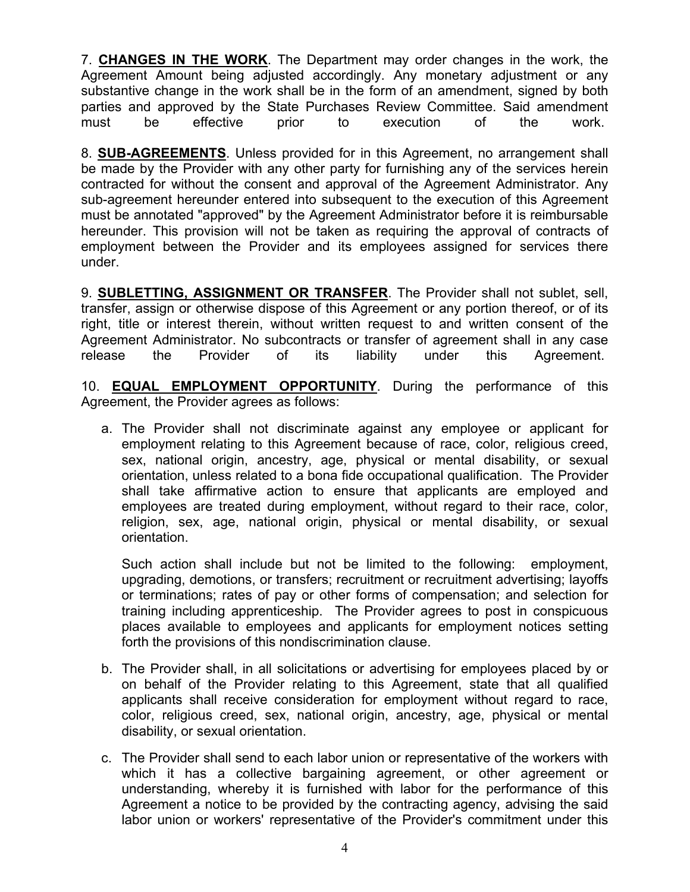7. CHANGES IN THE WORK. The Department may order changes in the work, the Agreement Amount being adjusted accordingly. Any monetary adjustment or any substantive change in the work shall be in the form of an amendment, signed by both parties and approved by the State Purchases Review Committee. Said amendment must be effective prior to execution of the work.

8. SUB-AGREEMENTS. Unless provided for in this Agreement, no arrangement shall be made by the Provider with any other party for furnishing any of the services herein contracted for without the consent and approval of the Agreement Administrator. Any sub-agreement hereunder entered into subsequent to the execution of this Agreement must be annotated "approved" by the Agreement Administrator before it is reimbursable hereunder. This provision will not be taken as requiring the approval of contracts of employment between the Provider and its employees assigned for services there under.

9. SUBLETTING, ASSIGNMENT OR TRANSFER. The Provider shall not sublet, sell, transfer, assign or otherwise dispose of this Agreement or any portion thereof, or of its right, title or interest therein, without written request to and written consent of the Agreement Administrator. No subcontracts or transfer of agreement shall in any case release the Provider of its liability under this Agreement.

10. **EQUAL EMPLOYMENT OPPORTUNITY**. During the performance of this Agreement, the Provider agrees as follows:

a. The Provider shall not discriminate against any employee or applicant for employment relating to this Agreement because of race, color, religious creed, sex, national origin, ancestry, age, physical or mental disability, or sexual orientation, unless related to a bona fide occupational qualification. The Provider shall take affirmative action to ensure that applicants are employed and employees are treated during employment, without regard to their race, color, religion, sex, age, national origin, physical or mental disability, or sexual orientation.

Such action shall include but not be limited to the following: employment, upgrading, demotions, or transfers; recruitment or recruitment advertising; layoffs or terminations; rates of pay or other forms of compensation; and selection for training including apprenticeship. The Provider agrees to post in conspicuous places available to employees and applicants for employment notices setting forth the provisions of this nondiscrimination clause.

- b. The Provider shall, in all solicitations or advertising for employees placed by or on behalf of the Provider relating to this Agreement, state that all qualified applicants shall receive consideration for employment without regard to race, color, religious creed, sex, national origin, ancestry, age, physical or mental disability, or sexual orientation.
- c. The Provider shall send to each labor union or representative of the workers with which it has a collective bargaining agreement, or other agreement or understanding, whereby it is furnished with labor for the performance of this Agreement a notice to be provided by the contracting agency, advising the said labor union or workers' representative of the Provider's commitment under this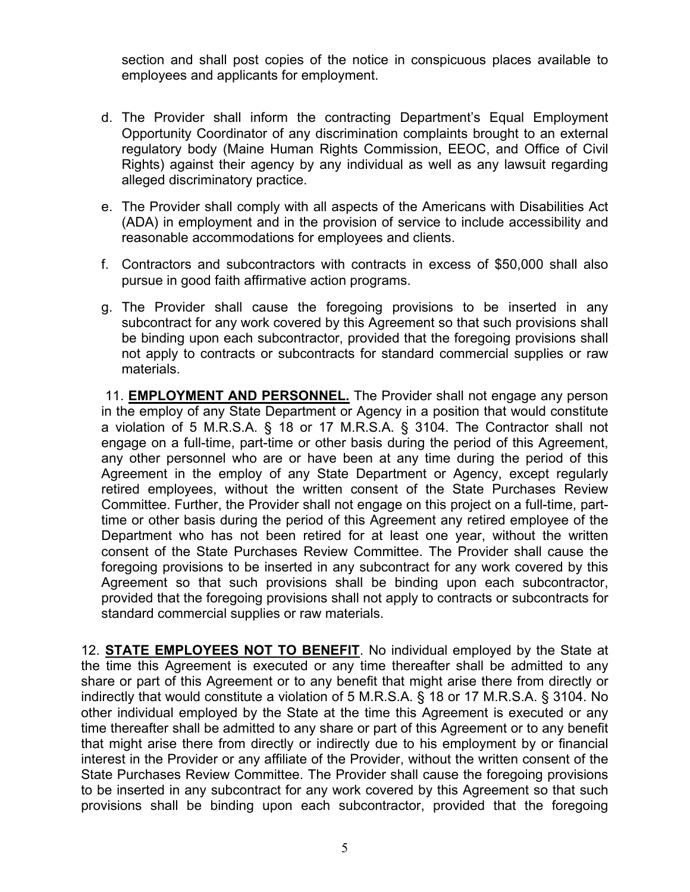section and shall post copies of the notice in conspicuous places available to employees and applicants for employment.

- d. The Provider shall inform the contracting Department's Equal Employment Opportunity Coordinator of any discrimination complaints brought to an external regulatory body (Maine Human Rights Commission, EEOC, and Office of Civil Rights) against their agency by any individual as well as any lawsuit regarding alleged discriminatory practice.
- e. The Provider shall comply with all aspects of the Americans with Disabilities Act (ADA) in employment and in the provision of service to include accessibility and reasonable accommodations for employees and clients.
- f. Contractors and subcontractors with contracts in excess of \$50,000 shall also pursue in good faith affirmative action programs.
- g. The Provider shall cause the foregoing provisions to be inserted in any subcontract for any work covered by this Agreement so that such provisions shall be binding upon each subcontractor, provided that the foregoing provisions shall not apply to contracts or subcontracts for standard commercial supplies or raw materials.

11. **EMPLOYMENT AND PERSONNEL.** The Provider shall not engage any person in the employ of any State Department or Agency in a position that would constitute a violation of 5 M.R.S.A. § 18 or 17 M.R.S.A. § 3104. The Contractor shall not engage on a full-time, part-time or other basis during the period of this Agreement, any other personnel who are or have been at any time during the period of this Agreement in the employ of any State Department or Agency, except regularly retired employees, without the written consent of the State Purchases Review Committee. Further, the Provider shall not engage on this project on a full-time, parttime or other basis during the period of this Agreement any retired employee of the Department who has not been retired for at least one year, without the written consent of the State Purchases Review Committee. The Provider shall cause the foregoing provisions to be inserted in any subcontract for any work covered by this Agreement so that such provisions shall be binding upon each subcontractor, provided that the foregoing provisions shall not apply to contracts or subcontracts for standard commercial supplies or raw materials.

12. STATE EMPLOYEES NOT TO BENEFIT. No individual employed by the State at the time this Agreement is executed or any time thereafter shall be admitted to any share or part of this Agreement or to any benefit that might arise there from directly or indirectly that would constitute a violation of 5 M.R.S.A. § 18 or 17 M.R.S.A. § 3104. No other individual employed by the State at the time this Agreement is executed or any time thereafter shall be admitted to any share or part of this Agreement or to any benefit that might arise there from directly or indirectly due to his employment by or financial interest in the Provider or any affiliate of the Provider, without the written consent of the State Purchases Review Committee. The Provider shall cause the foregoing provisions to be inserted in any subcontract for any work covered by this Agreement so that such provisions shall be binding upon each subcontractor, provided that the foregoing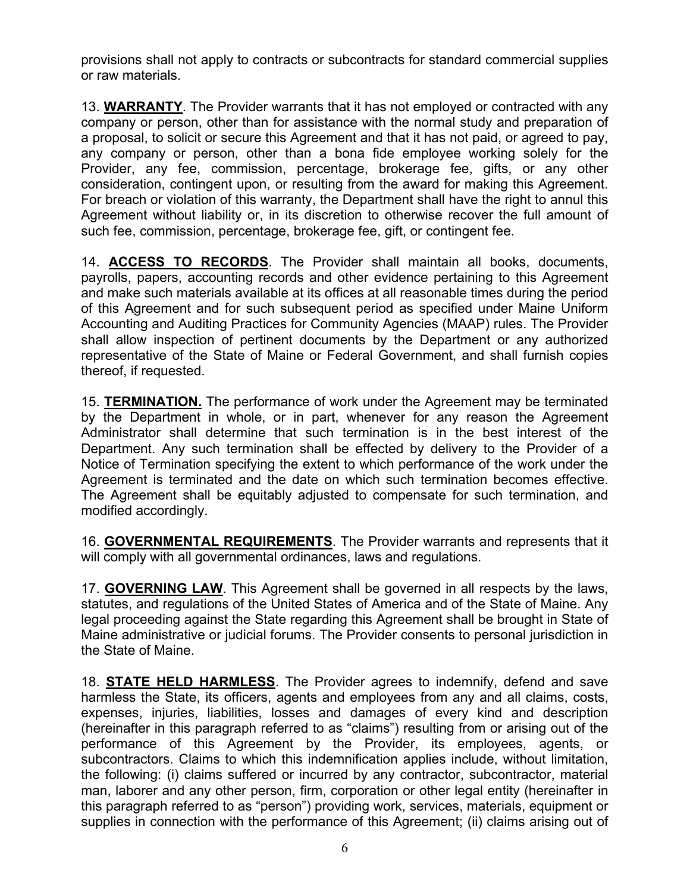provisions shall not apply to contracts or subcontracts for standard commercial supplies or raw materials.

13. WARRANTY. The Provider warrants that it has not employed or contracted with any company or person, other than for assistance with the normal study and preparation of a proposal, to solicit or secure this Agreement and that it has not paid, or agreed to pay, any company or person, other than a bona fide employee working solely for the Provider, any fee, commission, percentage, brokerage fee, gifts, or any other consideration, contingent upon, or resulting from the award for making this Agreement. For breach or violation of this warranty, the Department shall have the right to annul this Agreement without liability or, in its discretion to otherwise recover the full amount of such fee, commission, percentage, brokerage fee, gift, or contingent fee.

14. ACCESS TO RECORDS. The Provider shall maintain all books, documents, payrolls, papers, accounting records and other evidence pertaining to this Agreement and make such materials available at its offices at all reasonable times during the period of this Agreement and for such subsequent period as specified under Maine Uniform Accounting and Auditing Practices for Community Agencies (MAAP) rules. The Provider shall allow inspection of pertinent documents by the Department or any authorized representative of the State of Maine or Federal Government, and shall furnish copies thereof, if requested.

15. TERMINATION. The performance of work under the Agreement may be terminated by the Department in whole, or in part, whenever for any reason the Agreement Administrator shall determine that such termination is in the best interest of the Department. Any such termination shall be effected by delivery to the Provider of a Notice of Termination specifying the extent to which performance of the work under the Agreement is terminated and the date on which such termination becomes effective. The Agreement shall be equitably adjusted to compensate for such termination, and modified accordingly.

16. GOVERNMENTAL REQUIREMENTS. The Provider warrants and represents that it will comply with all governmental ordinances, laws and regulations.

17. GOVERNING LAW. This Agreement shall be governed in all respects by the laws, statutes, and regulations of the United States of America and of the State of Maine. Any legal proceeding against the State regarding this Agreement shall be brought in State of Maine administrative or judicial forums. The Provider consents to personal jurisdiction in the State of Maine.

18. STATE HELD HARMLESS. The Provider agrees to indemnify, defend and save harmless the State, its officers, agents and employees from any and all claims, costs, expenses, injuries, liabilities, losses and damages of every kind and description (hereinafter in this paragraph referred to as "claims") resulting from or arising out of the performance of this Agreement by the Provider, its employees, agents, or subcontractors. Claims to which this indemnification applies include, without limitation, the following: (i) claims suffered or incurred by any contractor, subcontractor, material man, laborer and any other person, firm, corporation or other legal entity (hereinafter in this paragraph referred to as "person") providing work, services, materials, equipment or supplies in connection with the performance of this Agreement; (ii) claims arising out of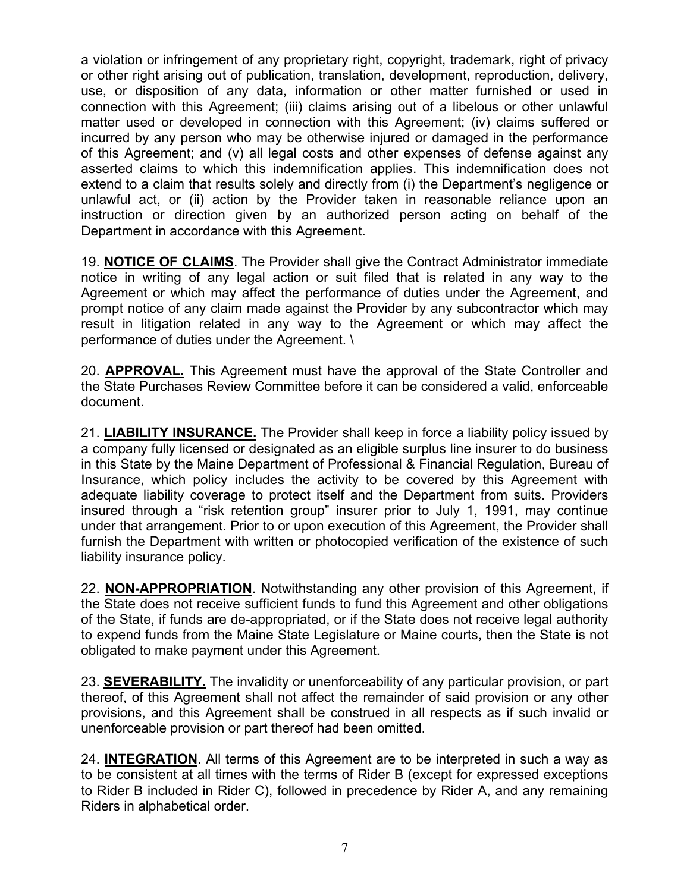a violation or infringement of any proprietary right, copyright, trademark, right of privacy or other right arising out of publication, translation, development, reproduction, delivery, use, or disposition of any data, information or other matter furnished or used in connection with this Agreement; (iii) claims arising out of a libelous or other unlawful matter used or developed in connection with this Agreement; (iv) claims suffered or incurred by any person who may be otherwise injured or damaged in the performance of this Agreement; and (v) all legal costs and other expenses of defense against any asserted claims to which this indemnification applies. This indemnification does not extend to a claim that results solely and directly from (i) the Department's negligence or unlawful act, or (ii) action by the Provider taken in reasonable reliance upon an instruction or direction given by an authorized person acting on behalf of the Department in accordance with this Agreement.

19. NOTICE OF CLAIMS. The Provider shall give the Contract Administrator immediate notice in writing of any legal action or suit filed that is related in any way to the Agreement or which may affect the performance of duties under the Agreement, and prompt notice of any claim made against the Provider by any subcontractor which may result in litigation related in any way to the Agreement or which may affect the performance of duties under the Agreement. \

20. APPROVAL. This Agreement must have the approval of the State Controller and the State Purchases Review Committee before it can be considered a valid, enforceable document.

21. **LIABILITY INSURANCE.** The Provider shall keep in force a liability policy issued by a company fully licensed or designated as an eligible surplus line insurer to do business in this State by the Maine Department of Professional & Financial Regulation, Bureau of Insurance, which policy includes the activity to be covered by this Agreement with adequate liability coverage to protect itself and the Department from suits. Providers insured through a "risk retention group" insurer prior to July 1, 1991, may continue under that arrangement. Prior to or upon execution of this Agreement, the Provider shall furnish the Department with written or photocopied verification of the existence of such liability insurance policy.

22. **NON-APPROPRIATION**. Notwithstanding any other provision of this Agreement, if the State does not receive sufficient funds to fund this Agreement and other obligations of the State, if funds are de-appropriated, or if the State does not receive legal authority to expend funds from the Maine State Legislature or Maine courts, then the State is not obligated to make payment under this Agreement.

23. **SEVERABILITY.** The invalidity or unenforceability of any particular provision, or part thereof, of this Agreement shall not affect the remainder of said provision or any other provisions, and this Agreement shall be construed in all respects as if such invalid or unenforceable provision or part thereof had been omitted.

24. INTEGRATION. All terms of this Agreement are to be interpreted in such a way as to be consistent at all times with the terms of Rider B (except for expressed exceptions to Rider B included in Rider C), followed in precedence by Rider A, and any remaining Riders in alphabetical order.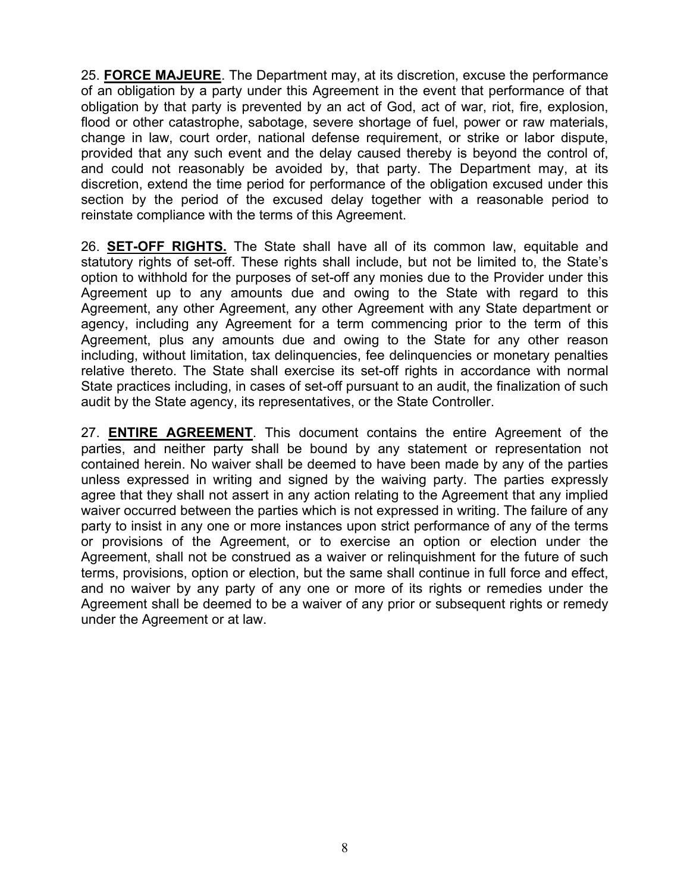25. FORCE MAJEURE. The Department may, at its discretion, excuse the performance of an obligation by a party under this Agreement in the event that performance of that obligation by that party is prevented by an act of God, act of war, riot, fire, explosion, flood or other catastrophe, sabotage, severe shortage of fuel, power or raw materials, change in law, court order, national defense requirement, or strike or labor dispute, provided that any such event and the delay caused thereby is beyond the control of, and could not reasonably be avoided by, that party. The Department may, at its discretion, extend the time period for performance of the obligation excused under this section by the period of the excused delay together with a reasonable period to reinstate compliance with the terms of this Agreement.

26. SET-OFF RIGHTS. The State shall have all of its common law, equitable and statutory rights of set-off. These rights shall include, but not be limited to, the State's option to withhold for the purposes of set-off any monies due to the Provider under this Agreement up to any amounts due and owing to the State with regard to this Agreement, any other Agreement, any other Agreement with any State department or agency, including any Agreement for a term commencing prior to the term of this Agreement, plus any amounts due and owing to the State for any other reason including, without limitation, tax delinquencies, fee delinquencies or monetary penalties relative thereto. The State shall exercise its set-off rights in accordance with normal State practices including, in cases of set-off pursuant to an audit, the finalization of such audit by the State agency, its representatives, or the State Controller.

27. ENTIRE AGREEMENT. This document contains the entire Agreement of the parties, and neither party shall be bound by any statement or representation not contained herein. No waiver shall be deemed to have been made by any of the parties unless expressed in writing and signed by the waiving party. The parties expressly agree that they shall not assert in any action relating to the Agreement that any implied waiver occurred between the parties which is not expressed in writing. The failure of any party to insist in any one or more instances upon strict performance of any of the terms or provisions of the Agreement, or to exercise an option or election under the Agreement, shall not be construed as a waiver or relinquishment for the future of such terms, provisions, option or election, but the same shall continue in full force and effect, and no waiver by any party of any one or more of its rights or remedies under the Agreement shall be deemed to be a waiver of any prior or subsequent rights or remedy under the Agreement or at law.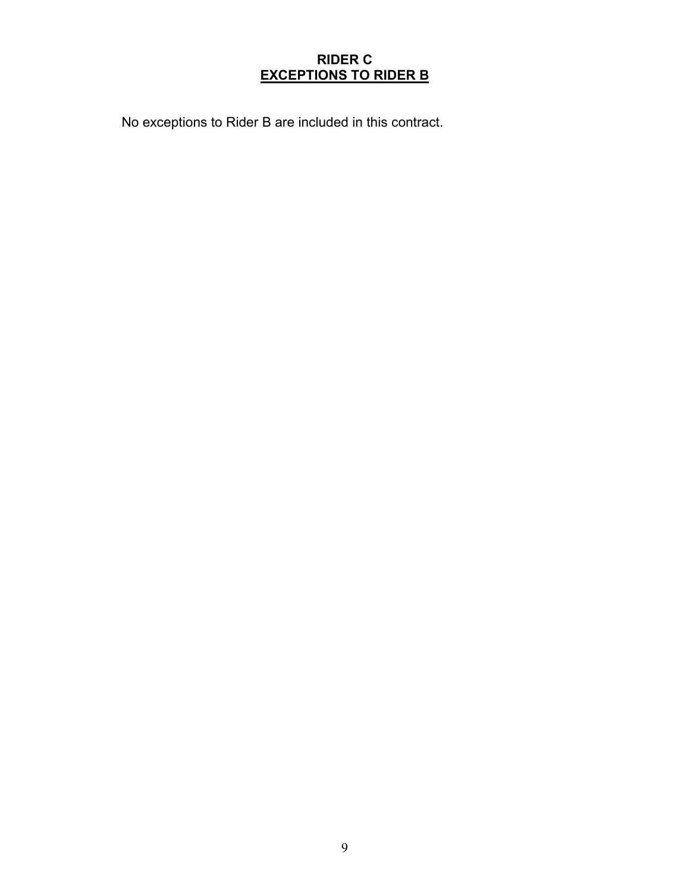# RIDER C EXCEPTIONS TO RIDER B

No exceptions to Rider B are included in this contract.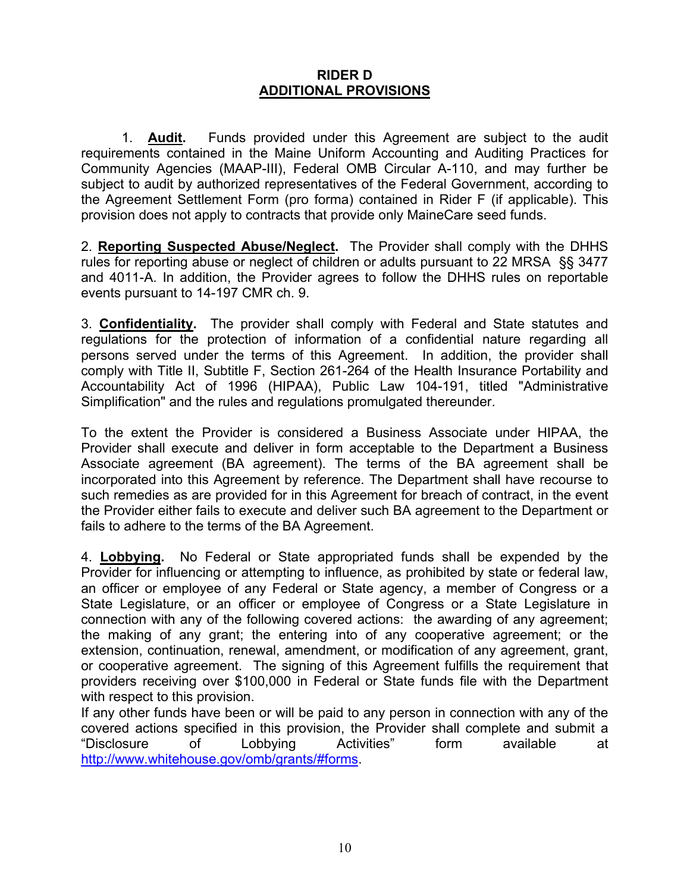## RIDER D ADDITIONAL PROVISIONS

1. Audit. Funds provided under this Agreement are subject to the audit requirements contained in the Maine Uniform Accounting and Auditing Practices for Community Agencies (MAAP-III), Federal OMB Circular A-110, and may further be subject to audit by authorized representatives of the Federal Government, according to the Agreement Settlement Form (pro forma) contained in Rider F (if applicable). This provision does not apply to contracts that provide only MaineCare seed funds.

2. **Reporting Suspected Abuse/Neglect.** The Provider shall comply with the DHHS rules for reporting abuse or neglect of children or adults pursuant to 22 MRSA §§ 3477 and 4011-A. In addition, the Provider agrees to follow the DHHS rules on reportable events pursuant to 14-197 CMR ch. 9.

3. Confidentiality. The provider shall comply with Federal and State statutes and regulations for the protection of information of a confidential nature regarding all persons served under the terms of this Agreement. In addition, the provider shall comply with Title II, Subtitle F, Section 261-264 of the Health Insurance Portability and Accountability Act of 1996 (HIPAA), Public Law 104-191, titled "Administrative Simplification" and the rules and regulations promulgated thereunder.

To the extent the Provider is considered a Business Associate under HIPAA, the Provider shall execute and deliver in form acceptable to the Department a Business Associate agreement (BA agreement). The terms of the BA agreement shall be incorporated into this Agreement by reference. The Department shall have recourse to such remedies as are provided for in this Agreement for breach of contract, in the event the Provider either fails to execute and deliver such BA agreement to the Department or fails to adhere to the terms of the BA Agreement.

4. **Lobbying.** No Federal or State appropriated funds shall be expended by the Provider for influencing or attempting to influence, as prohibited by state or federal law, an officer or employee of any Federal or State agency, a member of Congress or a State Legislature, or an officer or employee of Congress or a State Legislature in connection with any of the following covered actions: the awarding of any agreement; the making of any grant; the entering into of any cooperative agreement; or the extension, continuation, renewal, amendment, or modification of any agreement, grant, or cooperative agreement. The signing of this Agreement fulfills the requirement that providers receiving over \$100,000 in Federal or State funds file with the Department with respect to this provision.

If any other funds have been or will be paid to any person in connection with any of the covered actions specified in this provision, the Provider shall complete and submit a "Disclosure of Lobbying Activities" form available at http://www.whitehouse.gov/omb/grants/#forms.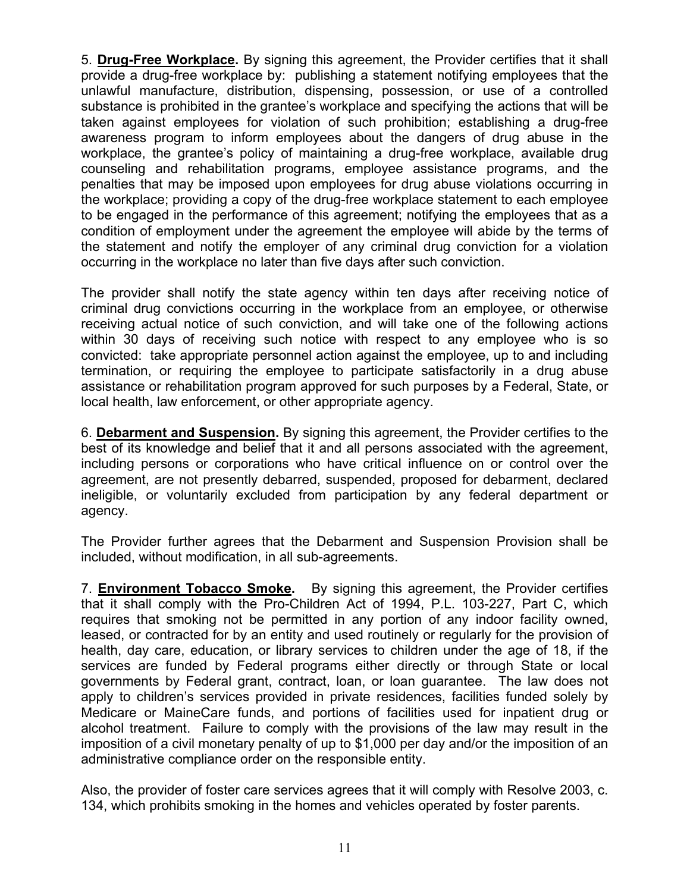5. Drug-Free Workplace. By signing this agreement, the Provider certifies that it shall provide a drug-free workplace by: publishing a statement notifying employees that the unlawful manufacture, distribution, dispensing, possession, or use of a controlled substance is prohibited in the grantee's workplace and specifying the actions that will be taken against employees for violation of such prohibition; establishing a drug-free awareness program to inform employees about the dangers of drug abuse in the workplace, the grantee's policy of maintaining a drug-free workplace, available drug counseling and rehabilitation programs, employee assistance programs, and the penalties that may be imposed upon employees for drug abuse violations occurring in the workplace; providing a copy of the drug-free workplace statement to each employee to be engaged in the performance of this agreement; notifying the employees that as a condition of employment under the agreement the employee will abide by the terms of the statement and notify the employer of any criminal drug conviction for a violation occurring in the workplace no later than five days after such conviction.

The provider shall notify the state agency within ten days after receiving notice of criminal drug convictions occurring in the workplace from an employee, or otherwise receiving actual notice of such conviction, and will take one of the following actions within 30 days of receiving such notice with respect to any employee who is so convicted: take appropriate personnel action against the employee, up to and including termination, or requiring the employee to participate satisfactorily in a drug abuse assistance or rehabilitation program approved for such purposes by a Federal, State, or local health, law enforcement, or other appropriate agency.

6. Debarment and Suspension. By signing this agreement, the Provider certifies to the best of its knowledge and belief that it and all persons associated with the agreement, including persons or corporations who have critical influence on or control over the agreement, are not presently debarred, suspended, proposed for debarment, declared ineligible, or voluntarily excluded from participation by any federal department or agency.

The Provider further agrees that the Debarment and Suspension Provision shall be included, without modification, in all sub-agreements.

7. **Environment Tobacco Smoke.** By signing this agreement, the Provider certifies that it shall comply with the Pro-Children Act of 1994, P.L. 103-227, Part C, which requires that smoking not be permitted in any portion of any indoor facility owned, leased, or contracted for by an entity and used routinely or regularly for the provision of health, day care, education, or library services to children under the age of 18, if the services are funded by Federal programs either directly or through State or local governments by Federal grant, contract, loan, or loan guarantee. The law does not apply to children's services provided in private residences, facilities funded solely by Medicare or MaineCare funds, and portions of facilities used for inpatient drug or alcohol treatment. Failure to comply with the provisions of the law may result in the imposition of a civil monetary penalty of up to \$1,000 per day and/or the imposition of an administrative compliance order on the responsible entity.

Also, the provider of foster care services agrees that it will comply with Resolve 2003, c. 134, which prohibits smoking in the homes and vehicles operated by foster parents.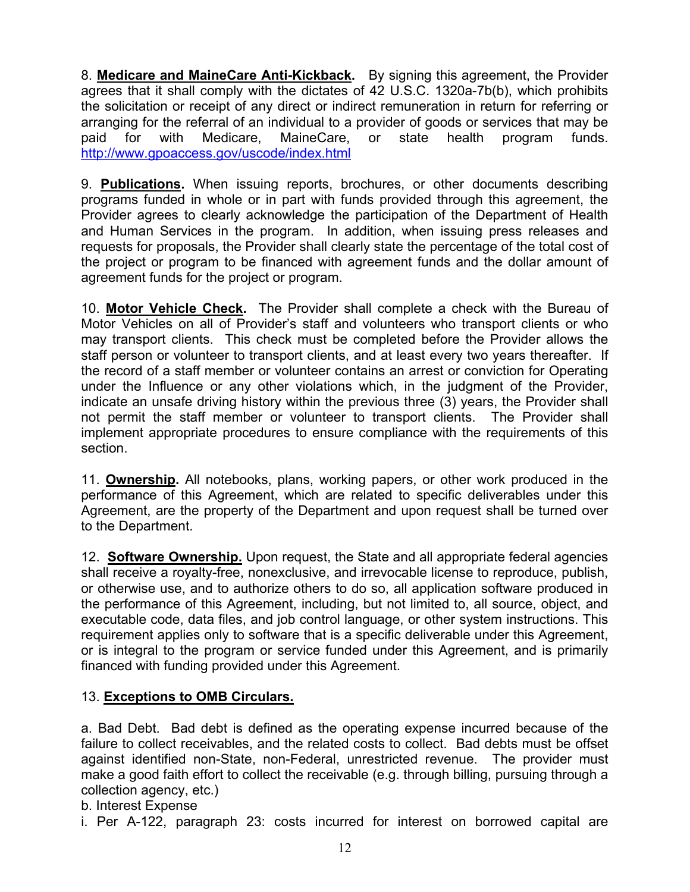8. Medicare and MaineCare Anti-Kickback. By signing this agreement, the Provider agrees that it shall comply with the dictates of 42 U.S.C. 1320a-7b(b), which prohibits the solicitation or receipt of any direct or indirect remuneration in return for referring or arranging for the referral of an individual to a provider of goods or services that may be paid for with Medicare, MaineCare, or state health program funds. http://www.gpoaccess.gov/uscode/index.html

9. **Publications**. When issuing reports, brochures, or other documents describing programs funded in whole or in part with funds provided through this agreement, the Provider agrees to clearly acknowledge the participation of the Department of Health and Human Services in the program. In addition, when issuing press releases and requests for proposals, the Provider shall clearly state the percentage of the total cost of the project or program to be financed with agreement funds and the dollar amount of agreement funds for the project or program.

10. Motor Vehicle Check. The Provider shall complete a check with the Bureau of Motor Vehicles on all of Provider's staff and volunteers who transport clients or who may transport clients. This check must be completed before the Provider allows the staff person or volunteer to transport clients, and at least every two years thereafter. If the record of a staff member or volunteer contains an arrest or conviction for Operating under the Influence or any other violations which, in the judgment of the Provider, indicate an unsafe driving history within the previous three (3) years, the Provider shall not permit the staff member or volunteer to transport clients. The Provider shall implement appropriate procedures to ensure compliance with the requirements of this section.

11. **Ownership.** All notebooks, plans, working papers, or other work produced in the performance of this Agreement, which are related to specific deliverables under this Agreement, are the property of the Department and upon request shall be turned over to the Department.

12. **Software Ownership.** Upon request, the State and all appropriate federal agencies shall receive a royalty-free, nonexclusive, and irrevocable license to reproduce, publish, or otherwise use, and to authorize others to do so, all application software produced in the performance of this Agreement, including, but not limited to, all source, object, and executable code, data files, and job control language, or other system instructions. This requirement applies only to software that is a specific deliverable under this Agreement, or is integral to the program or service funded under this Agreement, and is primarily financed with funding provided under this Agreement.

# 13. Exceptions to OMB Circulars.

a. Bad Debt. Bad debt is defined as the operating expense incurred because of the failure to collect receivables, and the related costs to collect. Bad debts must be offset against identified non-State, non-Federal, unrestricted revenue. The provider must make a good faith effort to collect the receivable (e.g. through billing, pursuing through a collection agency, etc.)

b. Interest Expense

i. Per A-122, paragraph 23: costs incurred for interest on borrowed capital are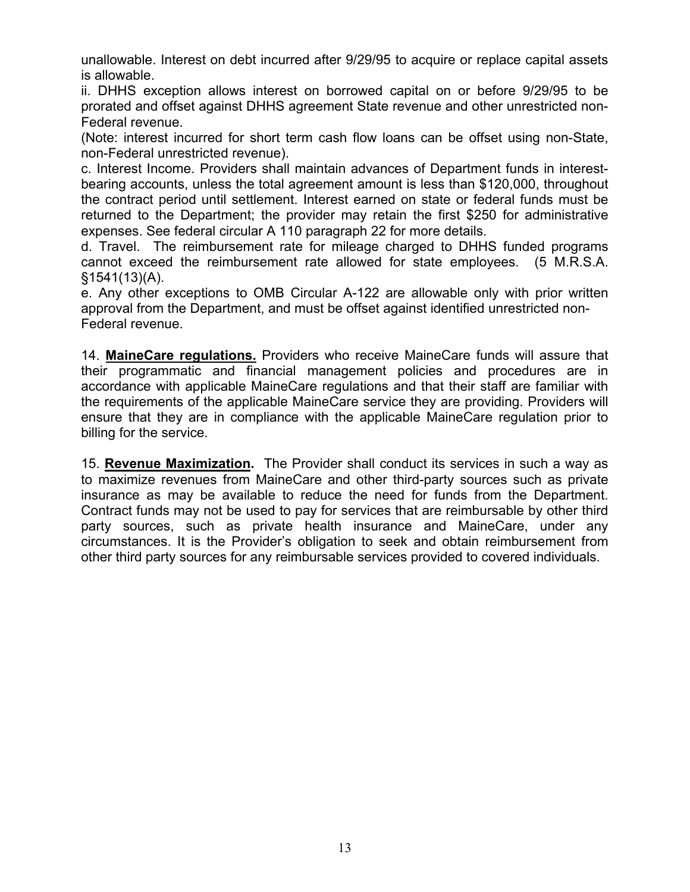unallowable. Interest on debt incurred after 9/29/95 to acquire or replace capital assets is allowable.

ii. DHHS exception allows interest on borrowed capital on or before 9/29/95 to be prorated and offset against DHHS agreement State revenue and other unrestricted non-Federal revenue.

(Note: interest incurred for short term cash flow loans can be offset using non-State, non-Federal unrestricted revenue).

c. Interest Income. Providers shall maintain advances of Department funds in interestbearing accounts, unless the total agreement amount is less than \$120,000, throughout the contract period until settlement. Interest earned on state or federal funds must be returned to the Department; the provider may retain the first \$250 for administrative expenses. See federal circular A 110 paragraph 22 for more details.

d. Travel. The reimbursement rate for mileage charged to DHHS funded programs cannot exceed the reimbursement rate allowed for state employees. (5 M.R.S.A. §1541(13)(A).

e. Any other exceptions to OMB Circular A-122 are allowable only with prior written approval from the Department, and must be offset against identified unrestricted non-Federal revenue.

14. MaineCare regulations. Providers who receive MaineCare funds will assure that their programmatic and financial management policies and procedures are in accordance with applicable MaineCare regulations and that their staff are familiar with the requirements of the applicable MaineCare service they are providing. Providers will ensure that they are in compliance with the applicable MaineCare regulation prior to billing for the service.

15. Revenue Maximization. The Provider shall conduct its services in such a way as to maximize revenues from MaineCare and other third-party sources such as private insurance as may be available to reduce the need for funds from the Department. Contract funds may not be used to pay for services that are reimbursable by other third party sources, such as private health insurance and MaineCare, under any circumstances. It is the Provider's obligation to seek and obtain reimbursement from other third party sources for any reimbursable services provided to covered individuals.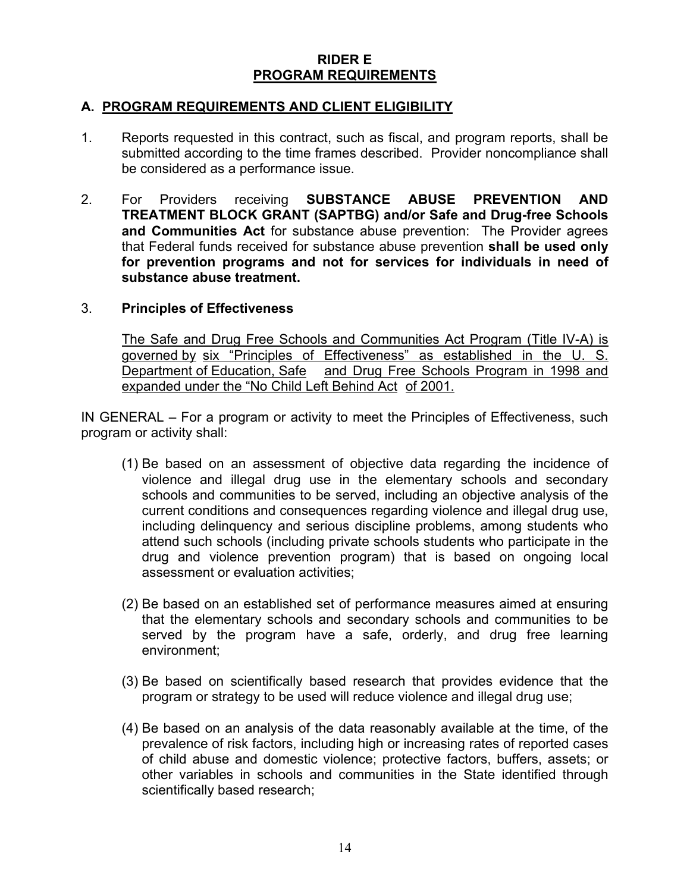# RIDER E PROGRAM REQUIREMENTS

# A. PROGRAM REQUIREMENTS AND CLIENT ELIGIBILITY

- 1. Reports requested in this contract, such as fiscal, and program reports, shall be submitted according to the time frames described. Provider noncompliance shall be considered as a performance issue.
- 2. For Providers receiving **SUBSTANCE ABUSE PREVENTION AND** TREATMENT BLOCK GRANT (SAPTBG) and/or Safe and Drug-free Schools and Communities Act for substance abuse prevention: The Provider agrees that Federal funds received for substance abuse prevention shall be used only for prevention programs and not for services for individuals in need of substance abuse treatment.

## 3. Principles of Effectiveness

The Safe and Drug Free Schools and Communities Act Program (Title IV-A) is governed by six "Principles of Effectiveness" as established in the U. S. Department of Education, Safe and Drug Free Schools Program in 1998 and expanded under the "No Child Left Behind Act of 2001.

IN GENERAL – For a program or activity to meet the Principles of Effectiveness, such program or activity shall:

- (1) Be based on an assessment of objective data regarding the incidence of violence and illegal drug use in the elementary schools and secondary schools and communities to be served, including an objective analysis of the current conditions and consequences regarding violence and illegal drug use, including delinquency and serious discipline problems, among students who attend such schools (including private schools students who participate in the drug and violence prevention program) that is based on ongoing local assessment or evaluation activities;
- (2) Be based on an established set of performance measures aimed at ensuring that the elementary schools and secondary schools and communities to be served by the program have a safe, orderly, and drug free learning environment;
- (3) Be based on scientifically based research that provides evidence that the program or strategy to be used will reduce violence and illegal drug use;
- (4) Be based on an analysis of the data reasonably available at the time, of the prevalence of risk factors, including high or increasing rates of reported cases of child abuse and domestic violence; protective factors, buffers, assets; or other variables in schools and communities in the State identified through scientifically based research;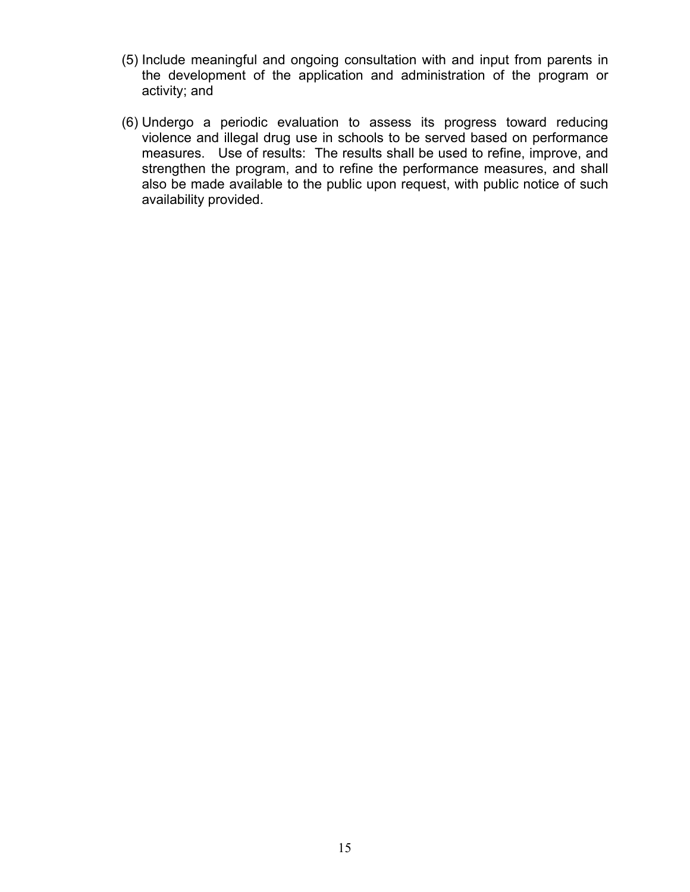- (5) Include meaningful and ongoing consultation with and input from parents in the development of the application and administration of the program or activity; and
- (6) Undergo a periodic evaluation to assess its progress toward reducing violence and illegal drug use in schools to be served based on performance measures. Use of results: The results shall be used to refine, improve, and strengthen the program, and to refine the performance measures, and shall also be made available to the public upon request, with public notice of such availability provided.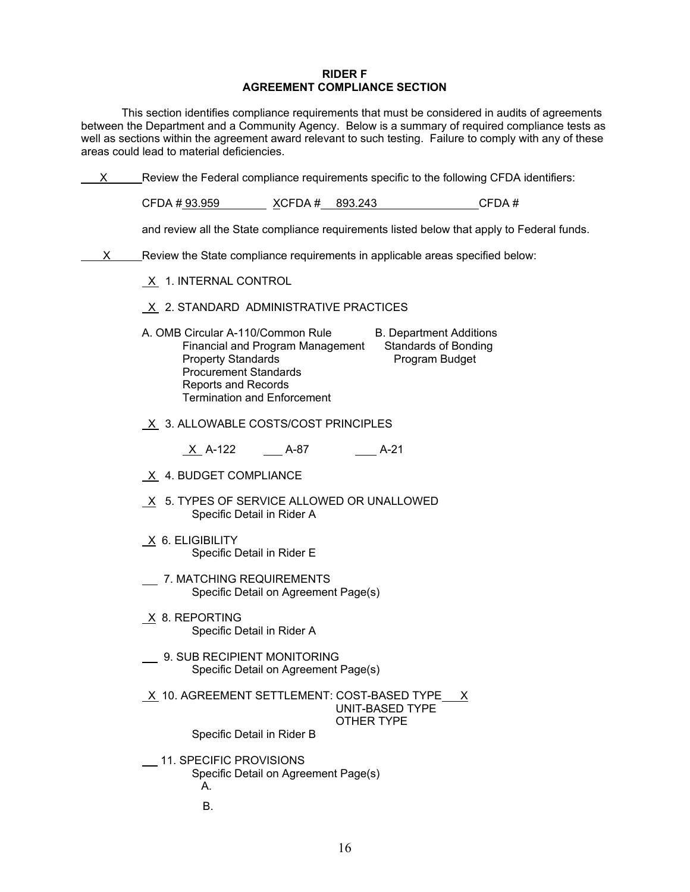#### RIDER F AGREEMENT COMPLIANCE SECTION

 This section identifies compliance requirements that must be considered in audits of agreements between the Department and a Community Agency. Below is a summary of required compliance tests as well as sections within the agreement award relevant to such testing. Failure to comply with any of these areas could lead to material deficiencies.

| X. |                                                                                                                                                                                                        |                         |                                      | Review the Federal compliance requirements specific to the following CFDA identifiers:     |  |  |
|----|--------------------------------------------------------------------------------------------------------------------------------------------------------------------------------------------------------|-------------------------|--------------------------------------|--------------------------------------------------------------------------------------------|--|--|
|    | CFDA # 93.959                                                                                                                                                                                          | <u>X</u> CFDA # 893.243 |                                      | CFDA#                                                                                      |  |  |
|    |                                                                                                                                                                                                        |                         |                                      | and review all the State compliance requirements listed below that apply to Federal funds. |  |  |
| X. | Review the State compliance requirements in applicable areas specified below:                                                                                                                          |                         |                                      |                                                                                            |  |  |
|    | $X$ 1. INTERNAL CONTROL                                                                                                                                                                                |                         |                                      |                                                                                            |  |  |
|    | $X$ 2. STANDARD ADMINISTRATIVE PRACTICES                                                                                                                                                               |                         |                                      |                                                                                            |  |  |
|    | A. OMB Circular A-110/Common Rule<br>Financial and Program Management<br><b>Property Standards</b><br><b>Procurement Standards</b><br><b>Reports and Records</b><br><b>Termination and Enforcement</b> |                         |                                      | <b>B. Department Additions</b><br><b>Standards of Bonding</b><br>Program Budget            |  |  |
|    | $X$ 3. ALLOWABLE COSTS/COST PRINCIPLES                                                                                                                                                                 |                         |                                      |                                                                                            |  |  |
|    | X A-122                                                                                                                                                                                                | A-87                    | $A-21$                               |                                                                                            |  |  |
|    | X 4. BUDGET COMPLIANCE                                                                                                                                                                                 |                         |                                      |                                                                                            |  |  |
|    | X 5. TYPES OF SERVICE ALLOWED OR UNALLOWED<br>Specific Detail in Rider A                                                                                                                               |                         |                                      |                                                                                            |  |  |
|    | $X$ 6. ELIGIBILITY<br>Specific Detail in Rider E                                                                                                                                                       |                         |                                      |                                                                                            |  |  |
|    | 7. MATCHING REQUIREMENTS<br>Specific Detail on Agreement Page(s)                                                                                                                                       |                         |                                      |                                                                                            |  |  |
|    | X 8. REPORTING<br>Specific Detail in Rider A                                                                                                                                                           |                         |                                      |                                                                                            |  |  |
|    | 9. SUB RECIPIENT MONITORING<br>Specific Detail on Agreement Page(s)                                                                                                                                    |                         |                                      |                                                                                            |  |  |
|    | X 10. AGREEMENT SETTLEMENT: COST-BASED TYPE X                                                                                                                                                          |                         | <b>UNIT-BASED TYPE</b><br>OTHER TYPE |                                                                                            |  |  |
|    | Specific Detail in Rider B                                                                                                                                                                             |                         |                                      |                                                                                            |  |  |
|    | 11. SPECIFIC PROVISIONS<br>Specific Detail on Agreement Page(s)<br>А.                                                                                                                                  |                         |                                      |                                                                                            |  |  |
|    | В.                                                                                                                                                                                                     |                         |                                      |                                                                                            |  |  |